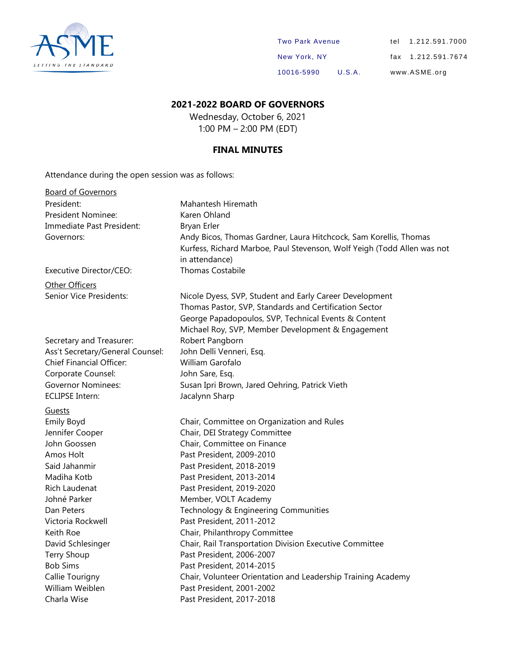

| <b>Two Park Avenue</b> |        | tel 1.212.591.7000 |
|------------------------|--------|--------------------|
| New York, NY           |        | fax 1.212.591.7674 |
| 10016-5990             | U.S.A. | www.ASME.org       |

#### **2021-2022 BOARD OF GOVERNORS**

Wednesday, October 6, 2021 1:00 PM – 2:00 PM (EDT)

#### **FINAL MINUTES**

Attendance during the open session was as follows:

| Mahantesh Hiremath                                                      |
|-------------------------------------------------------------------------|
| Karen Ohland                                                            |
| Bryan Erler                                                             |
| Andy Bicos, Thomas Gardner, Laura Hitchcock, Sam Korellis, Thomas       |
| Kurfess, Richard Marboe, Paul Stevenson, Wolf Yeigh (Todd Allen was not |
| in attendance)                                                          |
| <b>Thomas Costabile</b>                                                 |
|                                                                         |
|                                                                         |
| Nicole Dyess, SVP, Student and Early Career Development                 |
| Thomas Pastor, SVP, Standards and Certification Sector                  |
| George Papadopoulos, SVP, Technical Events & Content                    |
| Michael Roy, SVP, Member Development & Engagement                       |
| Robert Pangborn                                                         |
| John Delli Venneri, Esq.                                                |
| William Garofalo                                                        |
| John Sare, Esg.                                                         |
| Susan Ipri Brown, Jared Oehring, Patrick Vieth                          |
| Jacalynn Sharp                                                          |
|                                                                         |
| Chair, Committee on Organization and Rules                              |
| Chair, DEI Strategy Committee                                           |
| Chair, Committee on Finance                                             |
| Past President, 2009-2010                                               |
| Past President, 2018-2019                                               |
| Past President, 2013-2014                                               |
| Past President, 2019-2020                                               |
| Member, VOLT Academy                                                    |
| Technology & Engineering Communities                                    |
| Past President, 2011-2012                                               |
| Chair, Philanthropy Committee                                           |
| Chair, Rail Transportation Division Executive Committee                 |
| Past President, 2006-2007                                               |
| Past President, 2014-2015                                               |
| Chair, Volunteer Orientation and Leadership Training Academy            |
| Past President, 2001-2002                                               |
| Past President, 2017-2018                                               |
|                                                                         |
|                                                                         |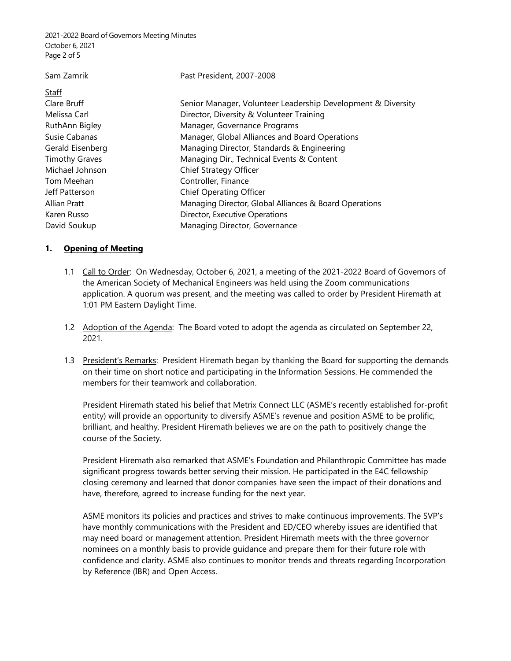2021-2022 Board of Governors Meeting Minutes October 6, 2021 Page 2 of 5

| Sam Zamrik            | Past President, 2007-2008                                    |
|-----------------------|--------------------------------------------------------------|
| <b>Staff</b>          |                                                              |
| Clare Bruff           | Senior Manager, Volunteer Leadership Development & Diversity |
| Melissa Carl          | Director, Diversity & Volunteer Training                     |
| RuthAnn Bigley        | Manager, Governance Programs                                 |
| Susie Cabanas         | Manager, Global Alliances and Board Operations               |
| Gerald Eisenberg      | Managing Director, Standards & Engineering                   |
| <b>Timothy Graves</b> | Managing Dir., Technical Events & Content                    |
| Michael Johnson       | Chief Strategy Officer                                       |
| Tom Meehan            | Controller, Finance                                          |
| Jeff Patterson        | <b>Chief Operating Officer</b>                               |
| Allian Pratt          | Managing Director, Global Alliances & Board Operations       |
| Karen Russo           | Director, Executive Operations                               |
| David Soukup          | Managing Director, Governance                                |

#### **1. Opening of Meeting**

- 1.1 Call to Order: On Wednesday, October 6, 2021, a meeting of the 2021-2022 Board of Governors of the American Society of Mechanical Engineers was held using the Zoom communications application. A quorum was present, and the meeting was called to order by President Hiremath at 1:01 PM Eastern Daylight Time.
- 1.2 Adoption of the Agenda: The Board voted to adopt the agenda as circulated on September 22, 2021.
- 1.3 President's Remarks: President Hiremath began by thanking the Board for supporting the demands on their time on short notice and participating in the Information Sessions. He commended the members for their teamwork and collaboration.

President Hiremath stated his belief that Metrix Connect LLC (ASME's recently established for-profit entity) will provide an opportunity to diversify ASME's revenue and position ASME to be prolific, brilliant, and healthy. President Hiremath believes we are on the path to positively change the course of the Society.

President Hiremath also remarked that ASME's Foundation and Philanthropic Committee has made significant progress towards better serving their mission. He participated in the E4C fellowship closing ceremony and learned that donor companies have seen the impact of their donations and have, therefore, agreed to increase funding for the next year.

ASME monitors its policies and practices and strives to make continuous improvements. The SVP's have monthly communications with the President and ED/CEO whereby issues are identified that may need board or management attention. President Hiremath meets with the three governor nominees on a monthly basis to provide guidance and prepare them for their future role with confidence and clarity. ASME also continues to monitor trends and threats regarding Incorporation by Reference (IBR) and Open Access.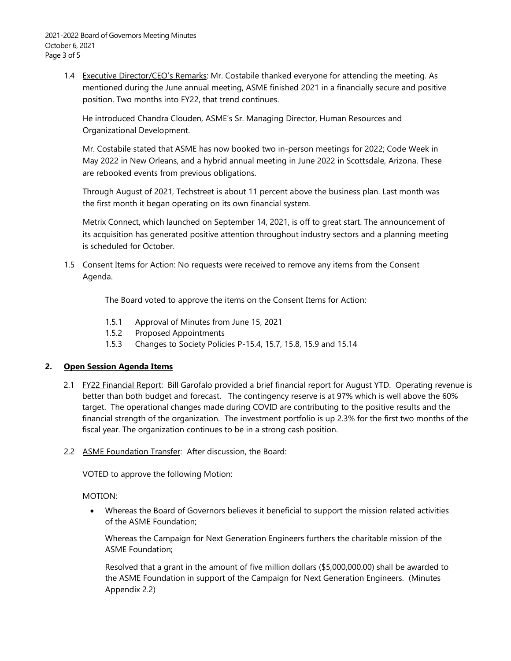1.4 Executive Director/CEO's Remarks: Mr. Costabile thanked everyone for attending the meeting. As mentioned during the June annual meeting, ASME finished 2021 in a financially secure and positive position. Two months into FY22, that trend continues.

He introduced Chandra Clouden, ASME's Sr. Managing Director, Human Resources and Organizational Development.

Mr. Costabile stated that ASME has now booked two in-person meetings for 2022; Code Week in May 2022 in New Orleans, and a hybrid annual meeting in June 2022 in Scottsdale, Arizona. These are rebooked events from previous obligations.

Through August of 2021, Techstreet is about 11 percent above the business plan. Last month was the first month it began operating on its own financial system.

Metrix Connect, which launched on September 14, 2021, is off to great start. The announcement of its acquisition has generated positive attention throughout industry sectors and a planning meeting is scheduled for October.

1.5 Consent Items for Action: No requests were received to remove any items from the Consent Agenda.

The Board voted to approve the items on the Consent Items for Action:

- 1.5.1 Approval of Minutes from June 15, 2021
- 1.5.2 Proposed Appointments
- 1.5.3 Changes to Society Policies P-15.4, 15.7, 15.8, 15.9 and 15.14

#### **2. Open Session Agenda Items**

- 2.1 FY22 Financial Report: Bill Garofalo provided a brief financial report for August YTD. Operating revenue is better than both budget and forecast. The contingency reserve is at 97% which is well above the 60% target. The operational changes made during COVID are contributing to the positive results and the financial strength of the organization. The investment portfolio is up 2.3% for the first two months of the fiscal year. The organization continues to be in a strong cash position.
- 2.2 ASME Foundation Transfer: After discussion, the Board:

VOTED to approve the following Motion:

MOTION:

• Whereas the Board of Governors believes it beneficial to support the mission related activities of the ASME Foundation;

Whereas the Campaign for Next Generation Engineers furthers the charitable mission of the ASME Foundation;

Resolved that a grant in the amount of five million dollars (\$5,000,000.00) shall be awarded to the ASME Foundation in support of the Campaign for Next Generation Engineers. (Minutes Appendix 2.2)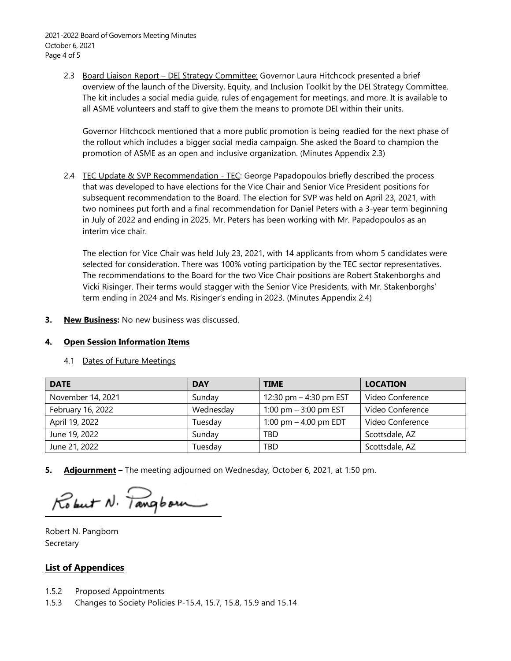2.3 Board Liaison Report – DEI Strategy Committee: Governor Laura Hitchcock presented a brief overview of the launch of the Diversity, Equity, and Inclusion Toolkit by the DEI Strategy Committee. The kit includes a social media guide, rules of engagement for meetings, and more. It is available to all ASME volunteers and staff to give them the means to promote DEI within their units.

Governor Hitchcock mentioned that a more public promotion is being readied for the next phase of the rollout which includes a bigger social media campaign. She asked the Board to champion the promotion of ASME as an open and inclusive organization. (Minutes Appendix 2.3)

2.4 TEC Update & SVP Recommendation - TEC: George Papadopoulos briefly described the process that was developed to have elections for the Vice Chair and Senior Vice President positions for subsequent recommendation to the Board. The election for SVP was held on April 23, 2021, with two nominees put forth and a final recommendation for Daniel Peters with a 3-year term beginning in July of 2022 and ending in 2025. Mr. Peters has been working with Mr. Papadopoulos as an interim vice chair.

The election for Vice Chair was held July 23, 2021, with 14 applicants from whom 5 candidates were selected for consideration. There was 100% voting participation by the TEC sector representatives. The recommendations to the Board for the two Vice Chair positions are Robert Stakenborghs and Vicki Risinger. Their terms would stagger with the Senior Vice Presidents, with Mr. Stakenborghs' term ending in 2024 and Ms. Risinger's ending in 2023. (Minutes Appendix 2.4)

**3.** New Business: No new business was discussed.

#### **4. Open Session Information Items**

- **DATE DAY TIME LOCATION** November 14, 2021 Sunday 12:30 pm – 4:30 pm EST Video Conference February 16, 2022 Wednesday 1:00 pm – 3:00 pm EST Video Conference April 19, 2022 1:00 pm – 4:00 pm EDT Video Conference June 19, 2022 Sunday Reserve Later and Scottsdale, AZ Scottsdale, AZ Scottsdale, AZ June 21, 2022 **Tuesday** TBD Scottsdale, AZ
- 4.1 Dates of Future Meetings

**5. Adjournment –** The meeting adjourned on Wednesday, October 6, 2021, at 1:50 pm.

Robert N. Pangborn

Robert N. Pangborn Secretary

#### **List of Appendices**

- 1.5.2 Proposed Appointments
- 1.5.3 Changes to Society Policies P-15.4, 15.7, 15.8, 15.9 and 15.14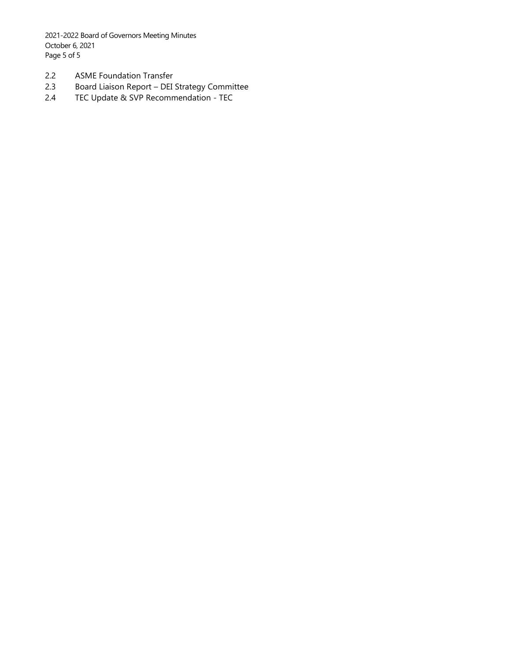2021-2022 Board of Governors Meeting Minutes October 6, 2021 Page 5 of 5

- 2.2 ASME Foundation Transfer
- 2.3 Board Liaison Report DEI Strategy Committee
- 2.4 TEC Update & SVP Recommendation TEC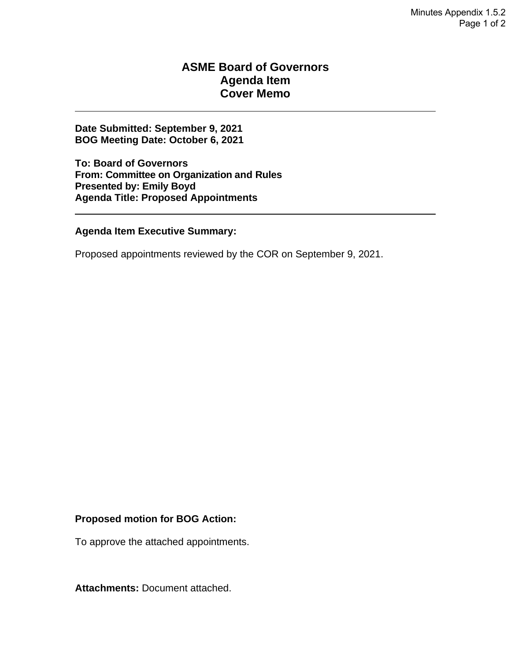#### **ASME Board of Governors Agenda Item Cover Memo**

**Date Submitted: September 9, 2021 BOG Meeting Date: October 6, 2021** 

**To: Board of Governors From: Committee on Organization and Rules Presented by: Emily Boyd Agenda Title: Proposed Appointments** 

#### **Agenda Item Executive Summary:**

Proposed appointments reviewed by the COR on September 9, 2021.

#### **Proposed motion for BOG Action:**

To approve the attached appointments.

**Attachments:** Document attached.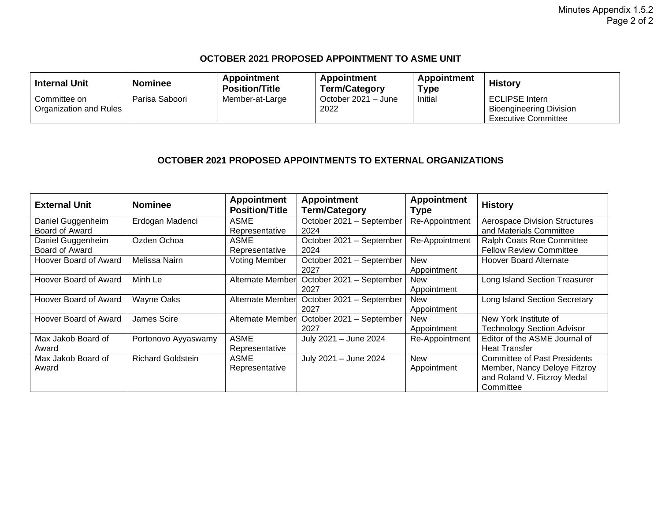#### **OCTOBER 2021 PROPOSED APPOINTMENT TO ASME UNIT**

| <b>Internal Unit</b>   | <b>Nominee</b> | Appointment<br><b>Position/Title</b> | Appointment<br><b>Term/Category</b> | Appointment<br>Type | <b>History</b>                 |
|------------------------|----------------|--------------------------------------|-------------------------------------|---------------------|--------------------------------|
| Committee on           | Parisa Saboori | Member-at-Large                      | October 2021 - June                 | Initial             | <b>ECLIPSE Intern</b>          |
| Organization and Rules |                |                                      | 2022                                |                     | <b>Bioengineering Division</b> |
|                        |                |                                      |                                     |                     | <b>Executive Committee</b>     |

#### **OCTOBER 2021 PROPOSED APPOINTMENTS TO EXTERNAL ORGANIZATIONS**

| <b>External Unit</b>  | <b>Nominee</b>           | <b>Appointment</b><br><b>Position/Title</b> | <b>Appointment</b><br><b>Term/Category</b> | <b>Appointment</b><br><b>Type</b> | <b>History</b>                       |
|-----------------------|--------------------------|---------------------------------------------|--------------------------------------------|-----------------------------------|--------------------------------------|
| Daniel Guggenheim     | Erdogan Madenci          | <b>ASME</b>                                 | October 2021 - September                   | Re-Appointment                    | <b>Aerospace Division Structures</b> |
| Board of Award        |                          | Representative                              | 2024                                       |                                   | and Materials Committee              |
| Daniel Guggenheim     | Ozden Ochoa              | <b>ASME</b>                                 | October 2021 - September                   | Re-Appointment                    | Ralph Coats Roe Committee            |
| Board of Award        |                          | Representative                              | 2024                                       |                                   | <b>Fellow Review Committee</b>       |
| Hoover Board of Award | Melissa Nairn            | <b>Voting Member</b>                        | October 2021 - September<br>2027           | <b>New</b><br>Appointment         | <b>Hoover Board Alternate</b>        |
| Hoover Board of Award | Minh Le                  | Alternate Member                            | October 2021 - September                   | <b>New</b>                        | Long Island Section Treasurer        |
|                       |                          |                                             | 2027                                       | Appointment                       |                                      |
| Hoover Board of Award | <b>Wayne Oaks</b>        | Alternate Member                            | October 2021 - September                   | <b>New</b>                        | Long Island Section Secretary        |
|                       |                          |                                             | 2027                                       | Appointment                       |                                      |
| Hoover Board of Award | James Scire              | <b>Alternate Member</b>                     | October 2021 - September                   | <b>New</b>                        | New York Institute of                |
|                       |                          |                                             | 2027                                       | Appointment                       | <b>Technology Section Advisor</b>    |
| Max Jakob Board of    | Portonovo Ayyaswamy      | <b>ASME</b>                                 | July 2021 - June 2024                      | Re-Appointment                    | Editor of the ASME Journal of        |
| Award                 |                          | Representative                              |                                            |                                   | <b>Heat Transfer</b>                 |
| Max Jakob Board of    | <b>Richard Goldstein</b> | <b>ASME</b>                                 | July 2021 - June 2024                      | <b>New</b>                        | <b>Committee of Past Presidents</b>  |
| Award                 |                          | Representative                              |                                            | Appointment                       | Member, Nancy Deloye Fitzroy         |
|                       |                          |                                             |                                            |                                   | and Roland V. Fitzroy Medal          |
|                       |                          |                                             |                                            |                                   | Committee                            |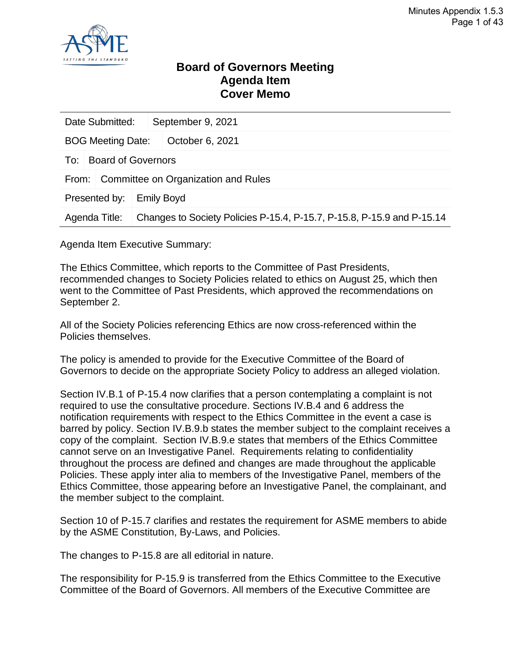

#### **Board of Governors Meeting Agenda Item Cover Memo**

| Date Submitted:<br>September 9, 2021         |                           |                   |                                                                        |  |  |  |
|----------------------------------------------|---------------------------|-------------------|------------------------------------------------------------------------|--|--|--|
| <b>BOG Meeting Date:</b>                     |                           |                   | October 6, 2021                                                        |  |  |  |
| To:                                          | <b>Board of Governors</b> |                   |                                                                        |  |  |  |
| Committee on Organization and Rules<br>From: |                           |                   |                                                                        |  |  |  |
| Presented by:                                |                           | <b>Emily Boyd</b> |                                                                        |  |  |  |
| Agenda Title:                                |                           |                   | Changes to Society Policies P-15.4, P-15.7, P-15.8, P-15.9 and P-15.14 |  |  |  |

Agenda Item Executive Summary:

The Ethics Committee, which reports to the Committee of Past Presidents, recommended changes to Society Policies related to ethics on August 25, which then went to the Committee of Past Presidents, which approved the recommendations on September 2.

All of the Society Policies referencing Ethics are now cross-referenced within the Policies themselves.

The policy is amended to provide for the Executive Committee of the Board of Governors to decide on the appropriate Society Policy to address an alleged violation.

Section IV.B.1 of P-15.4 now clarifies that a person contemplating a complaint is not required to use the consultative procedure. Sections IV.B.4 and 6 address the notification requirements with respect to the Ethics Committee in the event a case is barred by policy. Section IV.B.9.b states the member subject to the complaint receives a copy of the complaint. Section IV.B.9.e states that members of the Ethics Committee cannot serve on an Investigative Panel. Requirements relating to confidentiality throughout the process are defined and changes are made throughout the applicable Policies. These apply inter alia to members of the Investigative Panel, members of the Ethics Committee, those appearing before an Investigative Panel, the complainant, and the member subject to the complaint.

Section 10 of P-15.7 clarifies and restates the requirement for ASME members to abide by the ASME Constitution, By-Laws, and Policies.

The changes to P-15.8 are all editorial in nature.

The responsibility for P-15.9 is transferred from the Ethics Committee to the Executive Committee of the Board of Governors. All members of the Executive Committee are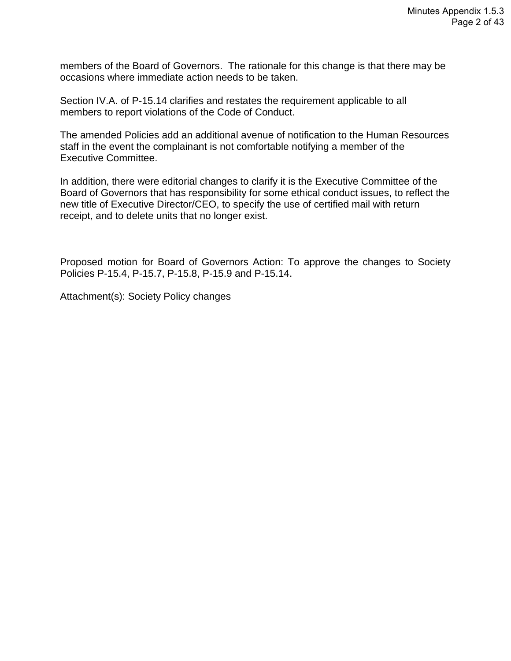members of the Board of Governors. The rationale for this change is that there may be occasions where immediate action needs to be taken.

Section IV.A. of P-15.14 clarifies and restates the requirement applicable to all members to report violations of the Code of Conduct.

The amended Policies add an additional avenue of notification to the Human Resources staff in the event the complainant is not comfortable notifying a member of the Executive Committee.

In addition, there were editorial changes to clarify it is the Executive Committee of the Board of Governors that has responsibility for some ethical conduct issues, to reflect the new title of Executive Director/CEO, to specify the use of certified mail with return receipt, and to delete units that no longer exist.

Proposed motion for Board of Governors Action: To approve the changes to Society Policies P-15.4, P-15.7, P-15.8, P-15.9 and P-15.14.

Attachment(s): Society Policy changes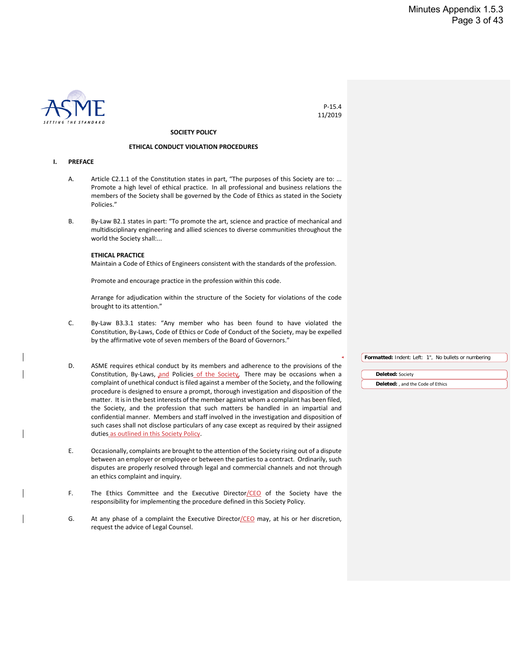

P-15.4 11/2019

#### **SOCIETY POLICY**

#### **ETHICAL CONDUCT VIOLATION PROCEDURES**

#### **I. PREFACE**

- A. Article C2.1.1 of the Constitution states in part, "The purposes of this Society are to: ... Promote a high level of ethical practice. In all professional and business relations the members of the Society shall be governed by the Code of Ethics as stated in the Society Policies."
- B. By-Law B2.1 states in part: "To promote the art, science and practice of mechanical and multidisciplinary engineering and allied sciences to diverse communities throughout the world the Society shall:...

#### **ETHICAL PRACTICE**

Maintain a Code of Ethics of Engineers consistent with the standards of the profession.

Promote and encourage practice in the profession within this code.

Arrange for adjudication within the structure of the Society for violations of the code brought to its attention."

- C. By-Law B3.3.1 states: "Any member who has been found to have violated the Constitution, By-Laws, Code of Ethics or Code of Conduct of the Society, may be expelled by the affirmative vote of seven members of the Board of Governors."
- D. ASME requires ethical conduct by its members and adherence to the provisions of the Constitution, By-Laws, and Policies of the Society. There may be occasions when a complaint of unethical conduct is filed against a member of the Society, and the following procedure is designed to ensure a prompt, thorough investigation and disposition of the matter. It is in the best interests of the member against whom a complaint has been filed, the Society, and the profession that such matters be handled in an impartial and confidential manner. Members and staff involved in the investigation and disposition of such cases shall not disclose particulars of any case except as required by their assigned duties as outlined in this Society Policy.
- E. Occasionally, complaints are brought to the attention of the Society rising out of a dispute between an employer or employee or between the parties to a contract. Ordinarily, such disputes are properly resolved through legal and commercial channels and not through an ethics complaint and inquiry.
- F. The Ethics Committee and the Executive Director/CEO of the Society have the responsibility for implementing the procedure defined in this Society Policy.
- G. At any phase of a complaint the Executive Director/CEO may, at his or her discretion, request the advice of Legal Counsel.

|                  | <b>Formatted:</b> Indent: Left: 1", No bullets or numbering |
|------------------|-------------------------------------------------------------|
|                  |                                                             |
| Deleted: Society |                                                             |

**Deleted:** , and the Code of Ethics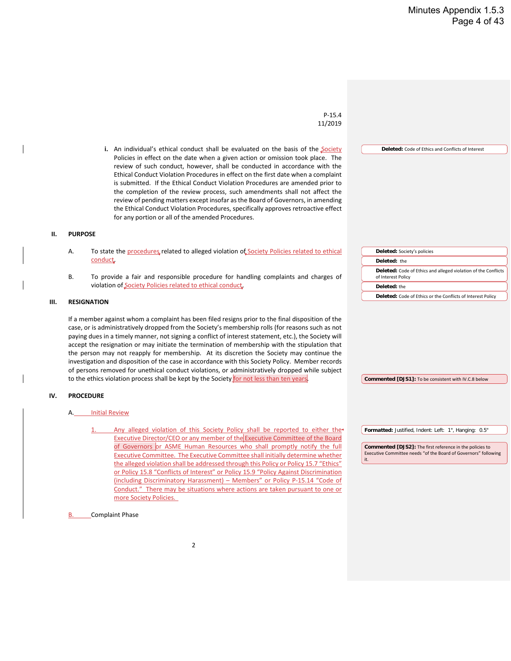**Deleted:** Code of Ethics and Conflicts of Interest

**Deleted:** Code of Ethics and alleged violation of the Conflicts

**Deleted:** Code of Ethics or the Conflicts of Interest Policy

**Deleted:** Society's policies

**Deleted:** the

of Interest Policy **Deleted:** the

P-15.4 11/2019

**i.** An individual's ethical conduct shall be evaluated on the basis of the Society Policies in effect on the date when a given action or omission took place. The review of such conduct, however, shall be conducted in accordance with the Ethical Conduct Violation Procedures in effect on the first date when a complaint is submitted. If the Ethical Conduct Violation Procedures are amended prior to the completion of the review process, such amendments shall not affect the review of pending matters except insofar as the Board of Governors, in amending the Ethical Conduct Violation Procedures, specifically approves retroactive effect for any portion or all of the amended Procedures.

#### **II. PURPOSE**

- A. To state the procedures related to alleged violation of Society Policies related to ethical **conduct**
- B. To provide a fair and responsible procedure for handling complaints and charges of violation of Society Policies related to ethical conduct.

#### **III. RESIGNATION**

If a member against whom a complaint has been filed resigns prior to the final disposition of the case, or is administratively dropped from the Society's membership rolls (for reasons such as not paying dues in a timely manner, not signing a conflict of interest statement, etc.), the Society will accept the resignation or may initiate the termination of membership with the stipulation that the person may not reapply for membership. At its discretion the Society may continue the investigation and disposition of the case in accordance with this Society Policy. Member records of persons removed for unethical conduct violations, or administratively dropped while subject to the ethics violation process shall be kept by the Society for not less than ten years

#### **IV. PROCEDURE**

#### A. Initial Review

**B.** Complaint Phase

Any alleged violation of this Society Policy shall be reported to either the Executive Director/CEO or any member of the Executive Committee of the Board of Governors or ASME Human Resources who shall promptly notify the full Executive Committee. The Executive Committee shall initially determine whether the alleged violation shall be addressed through this Policy or Policy 15.7 "Ethics" or Policy 15.8 "Conflicts of Interest" or Policy 15.9 "Policy Against Discrimination (including Discriminatory Harassment) – Members" or Policy P-15.14 "Code of Conduct." There may be situations where actions are taken pursuant to one or more Society Policies.

**Formatted:** Justified, Indent: Left: 1", Hanging: 0.5"

**Commented [DJS1]:** To be consistent with IV.C.8 below

**Commented [DJS2]:** The first reference in the policies to Executive Committee needs "of the Board of Governors" following it.

#### $\overline{\phantom{0}}$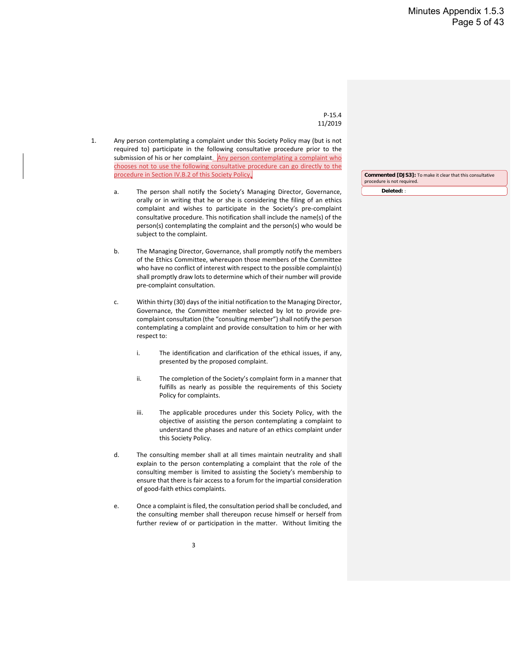P-15.4 11/2019

- 1. Any person contemplating a complaint under this Society Policy may (but is not required to) participate in the following consultative procedure prior to the submission of his or her complaint. Any person contemplating a complaint who chooses not to use the following consultative procedure can go directly to the procedure in Section IV.B.2 of this Society Policy.
	- a. The person shall notify the Society's Managing Director, Governance, orally or in writing that he or she is considering the filing of an ethics complaint and wishes to participate in the Society's pre-complaint consultative procedure. This notification shall include the name(s) of the person(s) contemplating the complaint and the person(s) who would be subject to the complaint.
	- b. The Managing Director, Governance, shall promptly notify the members of the Ethics Committee, whereupon those members of the Committee who have no conflict of interest with respect to the possible complaint(s) shall promptly draw lots to determine which of their number will provide pre-complaint consultation.
	- c. Within thirty (30) days of the initial notification to the Managing Director, Governance, the Committee member selected by lot to provide precomplaint consultation (the "consulting member") shall notify the person contemplating a complaint and provide consultation to him or her with respect to:
		- i. The identification and clarification of the ethical issues, if any, presented by the proposed complaint.
		- ii. The completion of the Society's complaint form in a manner that fulfills as nearly as possible the requirements of this Society Policy for complaints.
		- iii. The applicable procedures under this Society Policy, with the objective of assisting the person contemplating a complaint to understand the phases and nature of an ethics complaint under this Society Policy.
	- d. The consulting member shall at all times maintain neutrality and shall explain to the person contemplating a complaint that the role of the consulting member is limited to assisting the Society's membership to ensure that there is fair access to a forum for the impartial consideration of good-faith ethics complaints.
	- e. Once a complaint is filed, the consultation period shall be concluded, and the consulting member shall thereupon recuse himself or herself from further review of or participation in the matter. Without limiting the

**Deleted:** : **Commented [DJS3]:** To make it clear that this consultative procedure is not required.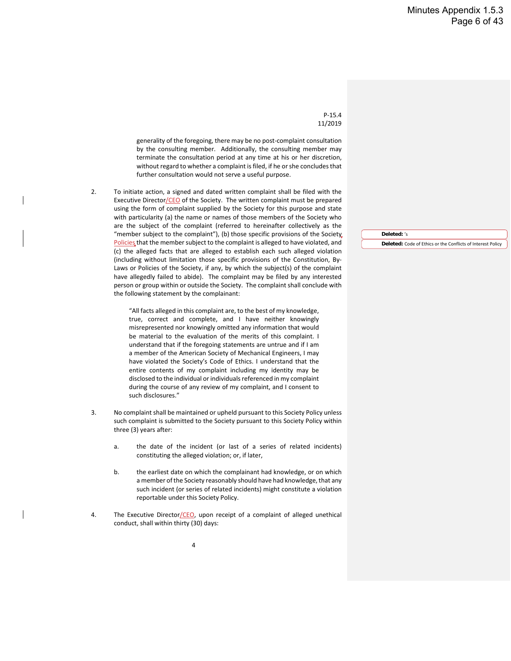P-15.4 11/2019

generality of the foregoing, there may be no post-complaint consultation by the consulting member. Additionally, the consulting member may terminate the consultation period at any time at his or her discretion, without regard to whether a complaint is filed, if he or she concludes that further consultation would not serve a useful purpose.

2. To initiate action, a signed and dated written complaint shall be filed with the Executive Director/CEO of the Society. The written complaint must be prepared using the form of complaint supplied by the Society for this purpose and state with particularity (a) the name or names of those members of the Society who are the subject of the complaint (referred to hereinafter collectively as the "member subject to the complaint"), (b) those specific provisions of the Society, Policies that the member subject to the complaint is alleged to have violated, and (c) the alleged facts that are alleged to establish each such alleged violation (including without limitation those specific provisions of the Constitution, By-Laws or Policies of the Society, if any, by which the subject(s) of the complaint have allegedly failed to abide). The complaint may be filed by any interested person or group within or outside the Society. The complaint shall conclude with the following statement by the complainant:

> "All facts alleged in this complaint are, to the best of my knowledge, true, correct and complete, and I have neither knowingly misrepresented nor knowingly omitted any information that would be material to the evaluation of the merits of this complaint. I understand that if the foregoing statements are untrue and if I am a member of the American Society of Mechanical Engineers, I may have violated the Society's Code of Ethics. I understand that the entire contents of my complaint including my identity may be disclosed to the individual or individuals referenced in my complaint during the course of any review of my complaint, and I consent to such disclosures."

- 3. No complaint shall be maintained or upheld pursuant to this Society Policy unless such complaint is submitted to the Society pursuant to this Society Policy within three (3) years after:
	- a. the date of the incident (or last of a series of related incidents) constituting the alleged violation; or, if later,
	- b. the earliest date on which the complainant had knowledge, or on which a member of the Society reasonably should have had knowledge, that any such incident (or series of related incidents) might constitute a violation reportable under this Society Policy.
- 4. The Executive Director/CEO, upon receipt of a complaint of alleged unethical conduct, shall within thirty (30) days:

**Deleted:** 's **Deleted:** Code of Ethics or the Conflicts of Interest Policy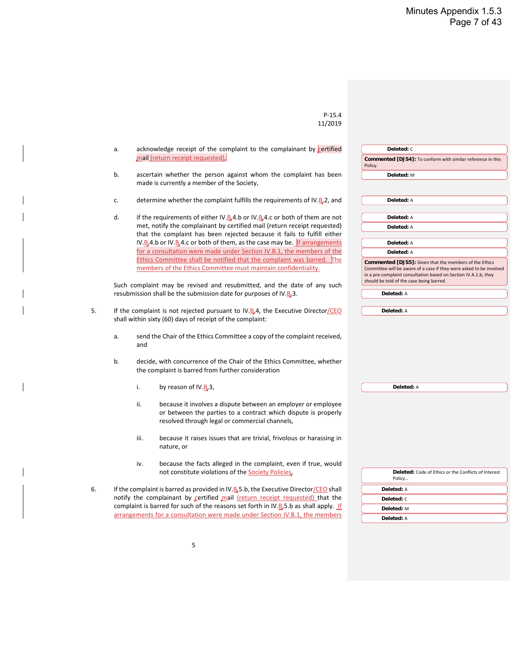| P-15.4  |
|---------|
| 11/2019 |

| a. |      | acknowledge receipt of the complaint to the complainant by certified                                                                                                              | Deleted: C                                                                                                                                                                         |
|----|------|-----------------------------------------------------------------------------------------------------------------------------------------------------------------------------------|------------------------------------------------------------------------------------------------------------------------------------------------------------------------------------|
|    |      | mail (return receipt requested),                                                                                                                                                  | Commented [DJS4]: To conform with similar reference in this<br>Policy.                                                                                                             |
| b. |      | ascertain whether the person against whom the complaint has been                                                                                                                  | Deleted: M                                                                                                                                                                         |
|    |      | made is currently a member of the Society,                                                                                                                                        |                                                                                                                                                                                    |
| c. |      | determine whether the complaint fulfills the requirements of IV.B <sub>2</sub> , and                                                                                              | Deleted: A                                                                                                                                                                         |
| d. |      |                                                                                                                                                                                   |                                                                                                                                                                                    |
|    |      | if the requirements of either IV.B.4.b or IV.B.4.c or both of them are not<br>met, notify the complainant by certified mail (return receipt requested)                            | Deleted: A                                                                                                                                                                         |
|    |      | that the complaint has been rejected because it fails to fulfill either                                                                                                           | Deleted: A                                                                                                                                                                         |
|    |      | IV.B.4.b or IV.B.4.c or both of them, as the case may be. If arrangements                                                                                                         | Deleted: A                                                                                                                                                                         |
|    |      | for a consultation were made under Section IV.B.1, the members of the                                                                                                             | Deleted: A                                                                                                                                                                         |
|    |      | Ethics Committee shall be notified that the complaint was barred.<br>The                                                                                                          | Commented [DJS5]: Given that the members of the Ethics                                                                                                                             |
|    |      | members of the Ethics Committee must maintain confidentiality.                                                                                                                    | Committee will be aware of a case if they were asked to be involved<br>in a pre-complaint consultation based on Section IV.A.1.b, they<br>should be told of the case being barred. |
|    |      | Such complaint may be revised and resubmitted, and the date of any such<br>resubmission shall be the submission date for purposes of IV.B.3.                                      | Deleted: A                                                                                                                                                                         |
|    |      | If the complaint is not rejected pursuant to IV.B.4, the Executive Director/CEO                                                                                                   | Deleted: A                                                                                                                                                                         |
|    |      | shall within sixty (60) days of receipt of the complaint:                                                                                                                         |                                                                                                                                                                                    |
| a. | and  | send the Chair of the Ethics Committee a copy of the complaint received,                                                                                                          |                                                                                                                                                                                    |
| b. |      | decide, with concurrence of the Chair of the Ethics Committee, whether<br>the complaint is barred from further consideration                                                      |                                                                                                                                                                                    |
|    | i.   | by reason of IV.B <sub>3</sub> ,                                                                                                                                                  | Deleted: A                                                                                                                                                                         |
|    | ii.  | because it involves a dispute between an employer or employee<br>or between the parties to a contract which dispute is properly<br>resolved through legal or commercial channels, |                                                                                                                                                                                    |
|    | iii. | because it raises issues that are trivial, frivolous or harassing in<br>nature, or                                                                                                |                                                                                                                                                                                    |
|    | iv.  | because the facts alleged in the complaint, even if true, would<br>not constitute violations of the Society Policies.                                                             | <b>Deleted:</b> Code of Ethics or the Conflicts of Interest<br>Policy                                                                                                              |
|    |      |                                                                                                                                                                                   |                                                                                                                                                                                    |
|    |      | If the complaint is barred as provided in IV.B, 5.b, the Executive Director/CEO shall<br>notify the complainant by certified mail (return receipt requested) that the             | Deleted: A<br>Deleted: C                                                                                                                                                           |
|    |      | complaint is barred for such of the reasons set forth in IV.B 5.b as shall apply. If                                                                                              | Deleted: M                                                                                                                                                                         |
|    |      | arrangements for a consultation were made under Section IV.B.1, the members                                                                                                       | Deleted: A                                                                                                                                                                         |
|    |      |                                                                                                                                                                                   |                                                                                                                                                                                    |

 $\overline{\phantom{a}}$ 

 $\overline{\phantom{a}}$ 

 $\overline{1}$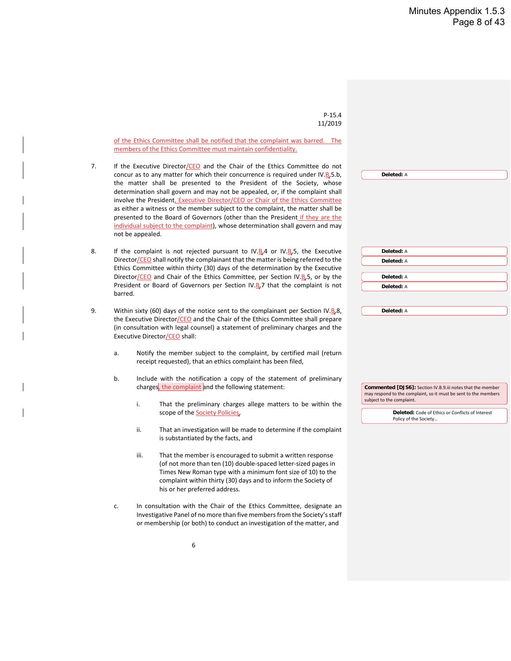P-15.4 11/2019 6 of the Ethics Committee shall be notified that the complaint was barred. The members of the Ethics Committee must maintain confidentiality. 7. If the Executive Director/CEO and the Chair of the Ethics Committee do not concur as to any matter for which their concurrence is required under IV. $B$ <sub>5</sub>5.b, the matter shall be presented to the President of the Society, whose determination shall govern and may not be appealed, or, if the complaint shall involve the President, Executive Director/CEO or Chair of the Ethics Committee as either a witness or the member subject to the complaint, the matter shall be presented to the Board of Governors (other than the President if they are the individual subject to the complaint), whose determination shall govern and may not be appealed. 8. If the complaint is not rejected pursuant to IV.B.4 or IV.B.5, the Executive Director/CEO shall notify the complainant that the matter is being referred to the Ethics Committee within thirty (30) days of the determination by the Executive Director/CEO and Chair of the Ethics Committee, per Section IV.B.5, or by the President or Board of Governors per Section IV. $B$ , 7 that the complaint is not barred. 9. Within sixty (60) days of the notice sent to the complainant per Section IV.B.8, the Executive Director/CEO and the Chair of the Ethics Committee shall prepare (in consultation with legal counsel) a statement of preliminary charges and the Executive Director/CEO shall: a. Notify the member subject to the complaint, by certified mail (return receipt requested), that an ethics complaint has been filed, b. Include with the notification a copy of the statement of preliminary charges, the complaint and the following statement: i. That the preliminary charges allege matters to be within the scope of the **Society Policies** ii. That an investigation will be made to determine if the complaint is substantiated by the facts, and iii. That the member is encouraged to submit a written response (of not more than ten (10) double-spaced letter-sized pages in Times New Roman type with a minimum font size of 10) to the complaint within thirty (30) days and to inform the Society of his or her preferred address. c. In consultation with the Chair of the Ethics Committee, designate an Investigative Panel of no more than five members from the Society's staff or membership (or both) to conduct an investigation of the matter, and **Deleted:** A **Deleted:** A **Deleted:** A **Deleted:** A **Deleted:** A **Deleted:** A **Commented [DJS6]:** Section IV.B.9.iii notes that the member may respond to the complaint, so it must be sent to the members subject to the complaint. **Deleted:** Code of Ethics or Conflicts of Interest Policy of the Society…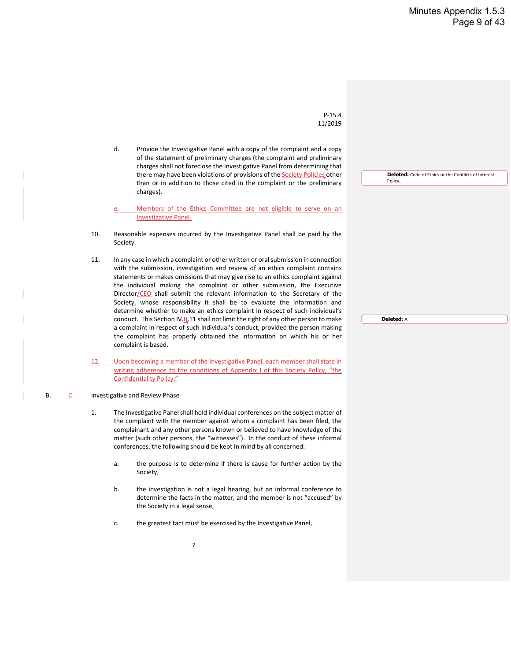**Deleted:** Code of Ethics or the Conflicts of Interest

P-15.4 11/2019

d. Provide the Investigative Panel with a copy of the complaint and a copy of the statement of preliminary charges (the complaint and preliminary charges shall not foreclose the Investigative Panel from determining that there may have been violations of provisions of the **Society Policies** other than or in addition to those cited in the complaint or the preliminary charges).

Members of the Ethics Committee are not eligible to serve on an Investigative Panel.

- 10. Reasonable expenses incurred by the Investigative Panel shall be paid by the Society.
- 11. In any case in which a complaint or other written or oral submission in connection with the submission, investigation and review of an ethics complaint contains statements or makes omissions that may give rise to an ethics complaint against the individual making the complaint or other submission, the Executive Director/CEO shall submit the relevant information to the Secretary of the Society, whose responsibility it shall be to evaluate the information and determine whether to make an ethics complaint in respect of such individual's conduct. This Section IV. $B<sub>n</sub>11$  shall not limit the right of any other person to make a complaint in respect of such individual's conduct, provided the person making the complaint has properly obtained the information on which his or her complaint is based.
- 12. Upon becoming a member of the Investigative Panel, each member shall state in writing adherence to the conditions of Appendix I of this Society Policy, "the Confidentiality Policy."

#### B. C. Investigative and Review Phase

- 1. The Investigative Panel shall hold individual conferences on the subject matter of the complaint with the member against whom a complaint has been filed, the complainant and any other persons known or believed to have knowledge of the matter (such other persons, the "witnesses"). In the conduct of these informal conferences, the following should be kept in mind by all concerned:
	- a. the purpose is to determine if there is cause for further action by the Society,
	- b. the investigation is not a legal hearing, but an informal conference to determine the facts in the matter, and the member is not "accused" by the Society in a legal sense,
	- c. the greatest tact must be exercised by the Investigative Panel,

**Deleted:** A

Policy…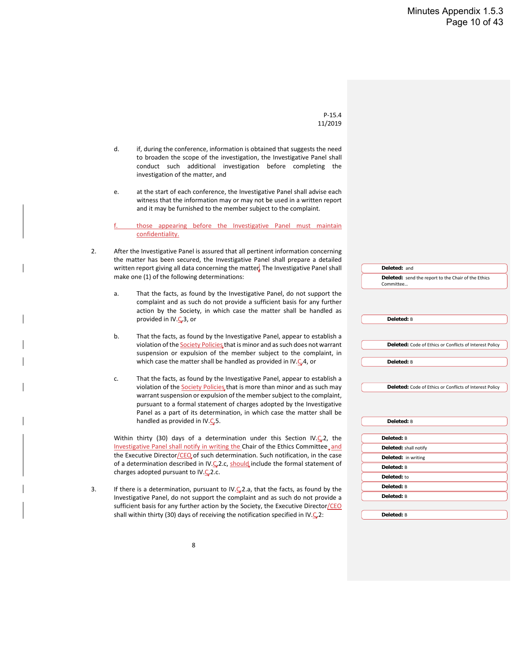d. if, during the conference, information is obtained that suggests the need to broaden the scope of the investigation, the Investigative Panel shall conduct such additional investigation before completing the investigation of the matter, and e. at the start of each conference, the Investigative Panel shall advise each witness that the information may or may not be used in a written report and it may be furnished to the member subject to the complaint. those appearing before the Investigative Panel must maintain confidentiality. 2. After the Investigative Panel is assured that all pertinent information concerning the matter has been secured, the Investigative Panel shall prepare a detailed written report giving all data concerning the matter. The Investigative Panel shall make one (1) of the following determinations: a. That the facts, as found by the Investigative Panel, do not support the complaint and as such do not provide a sufficient basis for any further action by the Society, in which case the matter shall be handled as provided in IV.C.3, or b. That the facts, as found by the Investigative Panel, appear to establish a violation of the **Society Policies** that is minor and as such does not warrant suspension or expulsion of the member subject to the complaint, in which case the matter shall be handled as provided in IV.C.4, or c. That the facts, as found by the Investigative Panel, appear to establish a violation of the **Society Policies** that is more than minor and as such may warrant suspension or expulsion of the member subject to the complaint, pursuant to a formal statement of charges adopted by the Investigative Panel as a part of its determination, in which case the matter shall be handled as provided in IV. $C$ <sub>5</sub>. Within thirty (30) days of a determination under this Section IV.C<sub>2</sub>, the Investigative Panel shall notify in writing the Chair of the Ethics Committee, and the Executive Director/CEO of such determination. Such notification, in the case of a determination described in IV.C<sub>2</sub>2.c, should include the formal statement of charges adopted pursuant to IV. $C<sub>2</sub>$ 2.c. 3. If there is a determination, pursuant to IV. $C<sub>4</sub>$ 2.a, that the facts, as found by the Investigative Panel, do not support the complaint and as such do not provide a sufficient basis for any further action by the Society, the Executive Director/CEO shall within thirty (30) days of receiving the notification specified in IV. $\mathbf{\mathcal{C}}$ , 2: **Deleted:** and **Deleted:** send the report to the Chair of the Ethics Committee… **Deleted:** B **Deleted:** Code of Ethics or Conflicts of Interest Policy **Deleted:** B **Deleted:** Code of Ethics or Conflicts of Interest Policy **Deleted:** B **Deleted:** B **Deleted:** shall notify **Deleted:** in writing **Deleted:** B **Deleted:** to **Deleted:** B **Deleted:** B **Deleted:** B

P-15.4 11/2019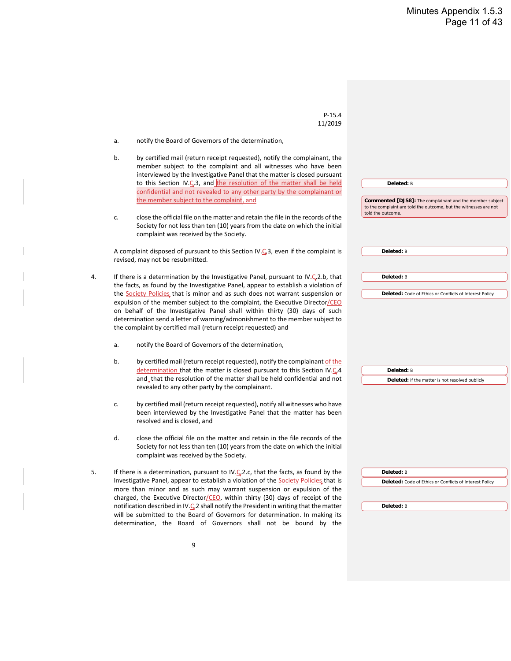P-15.4 11/2019 a. notify the Board of Governors of the determination, b. by certified mail (return receipt requested), notify the complainant, the member subject to the complaint and all witnesses who have been interviewed by the Investigative Panel that the matter is closed pursuant to this Section IV. $\frac{1}{2}$ , and the resolution of the matter shall be held confidential and not revealed to any other party by the complainant or the member subject to the complaint, and c. close the official file on the matter and retain the file in the records of the Society for not less than ten (10) years from the date on which the initial complaint was received by the Society. A complaint disposed of pursuant to this Section IV.C<sub>3</sub>, even if the complaint is revised, may not be resubmitted. 4. If there is a determination by the Investigative Panel, pursuant to IV. $\mathsf{C}_2$ 2.b, that the facts, as found by the Investigative Panel, appear to establish a violation of the Society Policies, that is minor and as such does not warrant suspension or expulsion of the member subject to the complaint, the Executive Director/CEO on behalf of the Investigative Panel shall within thirty (30) days of such determination send a letter of warning/admonishment to the member subject to the complaint by certified mail (return receipt requested) and a. notify the Board of Governors of the determination, b. by certified mail (return receipt requested), notify the complainant of the determination that the matter is closed pursuant to this Section IV.C.4 and that the resolution of the matter shall be held confidential and not revealed to any other party by the complainant. c. by certified mail (return receipt requested), notify all witnesses who have been interviewed by the Investigative Panel that the matter has been resolved and is closed, and d. close the official file on the matter and retain in the file records of the Society for not less than ten (10) years from the date on which the initial complaint was received by the Society. 5. If there is a determination, pursuant to IV. $C<sub>2</sub>$ 2.c, that the facts, as found by the Investigative Panel, appear to establish a violation of the Society Policies that is more than minor and as such may warrant suspension or expulsion of the charged, the Executive Director/CEO, within thirty (30) days of receipt of the notification described in IV. $C<sub>e</sub>$ 2 shall notify the President in writing that the matter will be submitted to the Board of Governors for determination. In making its determination, the Board of Governors shall not be bound by the **Deleted:** B **Commented [DJS8]:** The complainant and the member subject to the complaint are told the outcome, but the witnesses are not told the outcome. **Deleted:** B **Deleted:** B **Deleted:** Code of Ethics or Conflicts of Interest Policy **Deleted:** B **Deleted:** if the matter is not resolved publicly **Deleted:** B **Deleted:** Code of Ethics or Conflicts of Interest Policy **Deleted:** B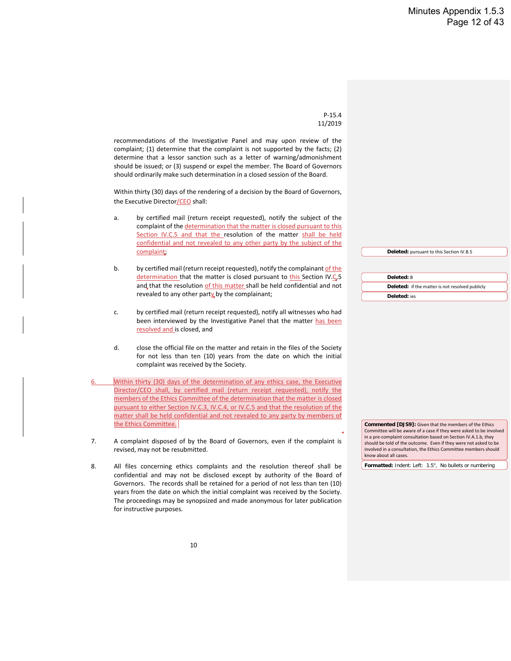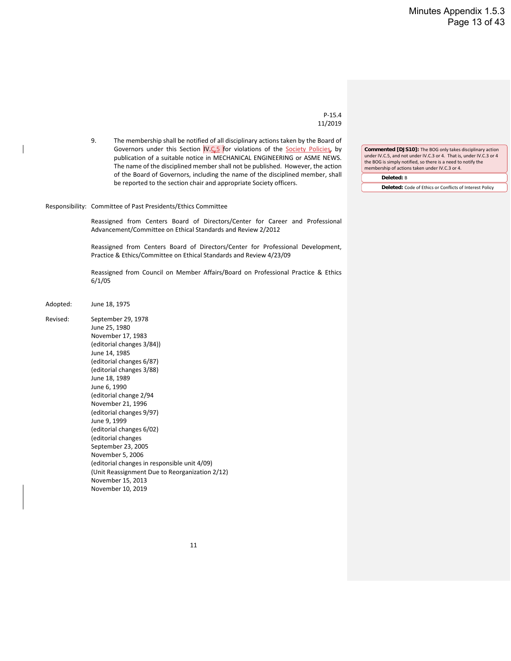P-15.4 11/2019

9. The membership shall be notified of all disciplinary actions taken by the Board of Governors under this Section IV.C.5 for violations of the Society Policies, by publication of a suitable notice in MECHANICAL ENGINEERING or ASME NEWS. The name of the disciplined member shall not be published. However, the action of the Board of Governors, including the name of the disciplined member, shall be reported to the section chair and appropriate Society officers.

Responsibility: Committee of Past Presidents/Ethics Committee

Reassigned from Centers Board of Directors/Center for Career and Professional Advancement/Committee on Ethical Standards and Review 2/2012

Reassigned from Centers Board of Directors/Center for Professional Development, Practice & Ethics/Committee on Ethical Standards and Review 4/23/09

Reassigned from Council on Member Affairs/Board on Professional Practice & Ethics 6/1/05

- Adopted: June 18, 1975
- Revised: September 29, 1978 June 25, 1980 November 17, 1983 (editorial changes 3/84)) June 14, 1985 (editorial changes 6/87) (editorial changes 3/88) June 18, 1989 June 6, 1990 (editorial change 2/94 November 21, 1996 (editorial changes 9/97) June 9, 1999 (editorial changes 6/02) (editorial changes September 23, 2005 November 5, 2006 (editorial changes in responsible unit 4/09) (Unit Reassignment Due to Reorganization 2/12) November 15, 2013 November 10, 2019

**Commented [DJS10]:** The BOG only takes disciplinary action under IV.C.5, and not under IV.C.3 or 4. That is, under IV.C.3 or 4 the BOG is simply notified, so there is a need to notify the membership of actions taken under IV.C.3 or 4.

**Deleted:** B

**Deleted:** Code of Ethics or Conflicts of Interest Policy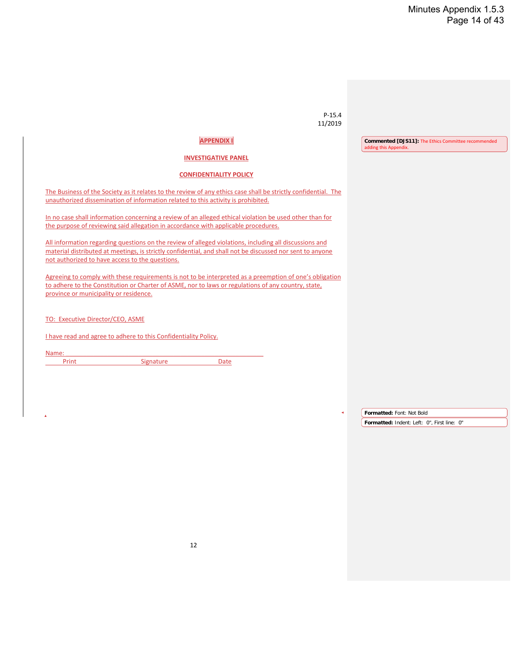| $P-15.4$                                                                                                                                                                                                                                                               |                                                                              |
|------------------------------------------------------------------------------------------------------------------------------------------------------------------------------------------------------------------------------------------------------------------------|------------------------------------------------------------------------------|
| 11/2019                                                                                                                                                                                                                                                                |                                                                              |
| <b>APPENDIX I</b>                                                                                                                                                                                                                                                      | Commented [DJS11]: The Ethics Committee recommended<br>adding this Appendix. |
| <b>INVESTIGATIVE PANEL</b>                                                                                                                                                                                                                                             |                                                                              |
| <b>CONFIDENTIALITY POLICY</b>                                                                                                                                                                                                                                          |                                                                              |
| The Business of the Society as it relates to the review of any ethics case shall be strictly confidential. The<br>unauthorized dissemination of information related to this activity is prohibited.                                                                    |                                                                              |
| In no case shall information concerning a review of an alleged ethical violation be used other than for<br>the purpose of reviewing said allegation in accordance with applicable procedures.                                                                          |                                                                              |
| All information regarding questions on the review of alleged violations, including all discussions and<br>material distributed at meetings, is strictly confidential, and shall not be discussed nor sent to anyone<br>not authorized to have access to the questions. |                                                                              |
| Agreeing to comply with these requirements is not to be interpreted as a preemption of one's obligation<br>to adhere to the Constitution or Charter of ASME, nor to laws or regulations of any country, state,<br>province or municipality or residence.               |                                                                              |
| TO: Executive Director/CEO, ASME                                                                                                                                                                                                                                       |                                                                              |
| I have read and agree to adhere to this Confidentiality Policy.                                                                                                                                                                                                        |                                                                              |
| Name:<br>Signature<br>Print<br><b>Date</b>                                                                                                                                                                                                                             |                                                                              |
|                                                                                                                                                                                                                                                                        |                                                                              |
|                                                                                                                                                                                                                                                                        | Formatted: Font: Not Bold                                                    |
|                                                                                                                                                                                                                                                                        | Formatted: Indent: Left: 0", First line: 0"                                  |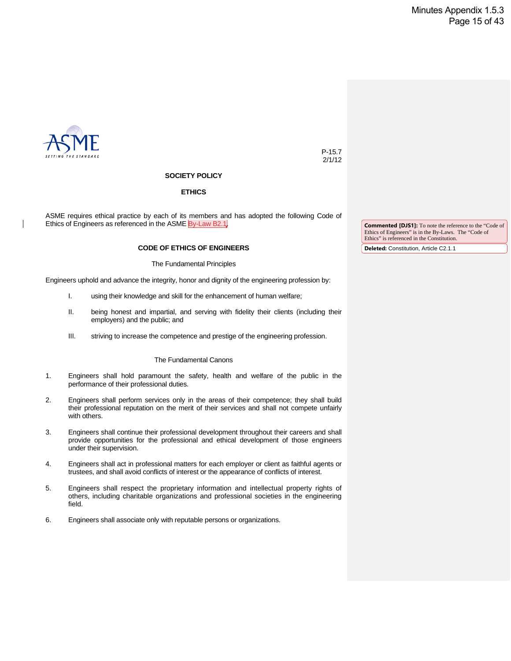

P-15.7 2/1/12

#### **SOCIETY POLICY**

#### **ETHICS**

ASME requires ethical practice by each of its members and has adopted the following Code of Ethics of Engineers as referenced in the ASME By-Law B2.1.

#### **CODE OF ETHICS OF ENGINEERS**

#### The Fundamental Principles

Engineers uphold and advance the integrity, honor and dignity of the engineering profession by:

- I. using their knowledge and skill for the enhancement of human welfare;
- II. being honest and impartial, and serving with fidelity their clients (including their employers) and the public; and
- III. striving to increase the competence and prestige of the engineering profession.

#### The Fundamental Canons

- 1. Engineers shall hold paramount the safety, health and welfare of the public in the performance of their professional duties.
- 2. Engineers shall perform services only in the areas of their competence; they shall build their professional reputation on the merit of their services and shall not compete unfairly with others.
- 3. Engineers shall continue their professional development throughout their careers and shall provide opportunities for the professional and ethical development of those engineers under their supervision.
- 4. Engineers shall act in professional matters for each employer or client as faithful agents or trustees, and shall avoid conflicts of interest or the appearance of conflicts of interest.
- 5. Engineers shall respect the proprietary information and intellectual property rights of others, including charitable organizations and professional societies in the engineering field.
- 6. Engineers shall associate only with reputable persons or organizations.

**Commented [DJS1]:** To note the reference to the "Code of Ethics of Engineers" is in the By-Laws. The "Code of Ethics" is referenced in the Constitution.

**Deleted:** Constitution, Article C2.1.1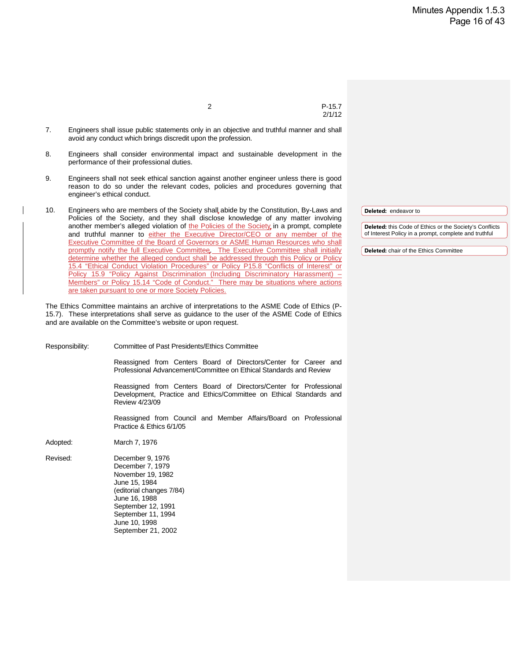2 P-15.7

2/1/12

- 7. Engineers shall issue public statements only in an objective and truthful manner and shall avoid any conduct which brings discredit upon the profession.
- 8. Engineers shall consider environmental impact and sustainable development in the performance of their professional duties.
- 9. Engineers shall not seek ethical sanction against another engineer unless there is good reason to do so under the relevant codes, policies and procedures governing that engineer's ethical conduct.
- 10. Engineers who are members of the Society shall abide by the Constitution, By-Laws and Policies of the Society, and they shall disclose knowledge of any matter involving another member's alleged violation of the Policies of the Society in a prompt, complete and truthful manner to either the Executive Director/CEO or any member of the Executive Committee of the Board of Governors or ASME Human Resources who shall promptly notify the full Executive Committee. The Executive Committee shall initially determine whether the alleged conduct shall be addressed through this Policy or Policy 15.4 "Ethical Conduct Violation Procedures" or Policy P15.8 "Conflicts of Interest" or Policy 15.9 "Policy Against Discrimination (Including Discriminatory Harassment) -Members" or Policy 15.14 "Code of Conduct." There may be situations where actions are taken pursuant to one or more Society Policies.

The Ethics Committee maintains an archive of interpretations to the ASME Code of Ethics (P-15.7). These interpretations shall serve as guidance to the user of the ASME Code of Ethics and are available on the Committee's website or upon request.

Responsibility: Committee of Past Presidents/Ethics Committee

Reassigned from Centers Board of Directors/Center for Career and Professional Advancement/Committee on Ethical Standards and Review

Reassigned from Centers Board of Directors/Center for Professional Development, Practice and Ethics/Committee on Ethical Standards and Review 4/23/09

Reassigned from Council and Member Affairs/Board on Professional Practice & Ethics 6/1/05

Adopted: March 7, 1976

Revised: December 9, 1976 December 7, 1979 November 19, 1982 June 15, 1984 (editorial changes 7/84) June 16, 1988 September 12, 1991 September 11, 1994 June 10, 1998 September 21, 2002

**Deleted:** endeavor to

**Deleted:** this Code of Ethics or the Society's Conflicts of Interest Policy in a prompt, complete and truthful

**Deleted:** chair of the Ethics Committee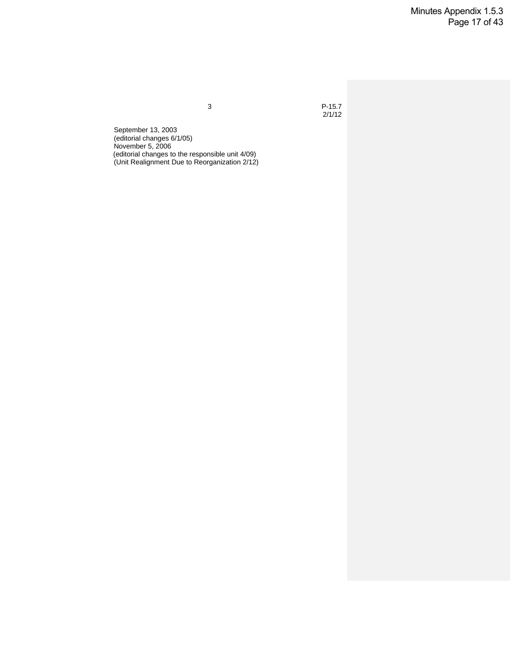Minutes Appendix 1.5.3 Page 17 of 43

3 P-15.7  $2/1/12$ 

September 13, 2003 (editorial changes 6/1/05) November 5, 2006 (editorial changes to the responsible unit 4/09) (Unit Realignment Due to Reorganization 2/12)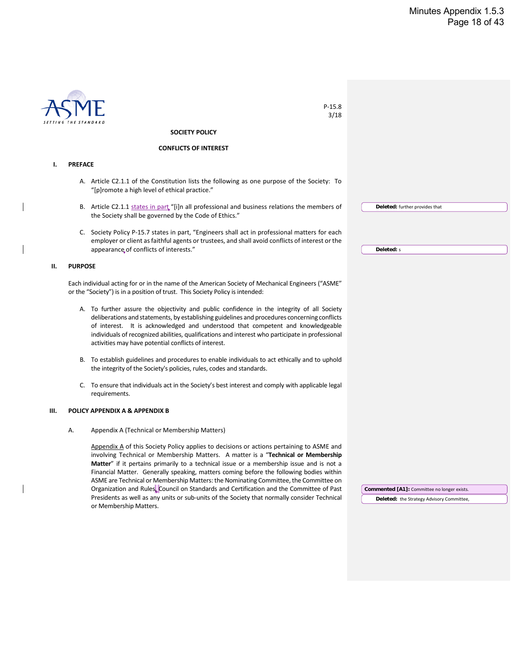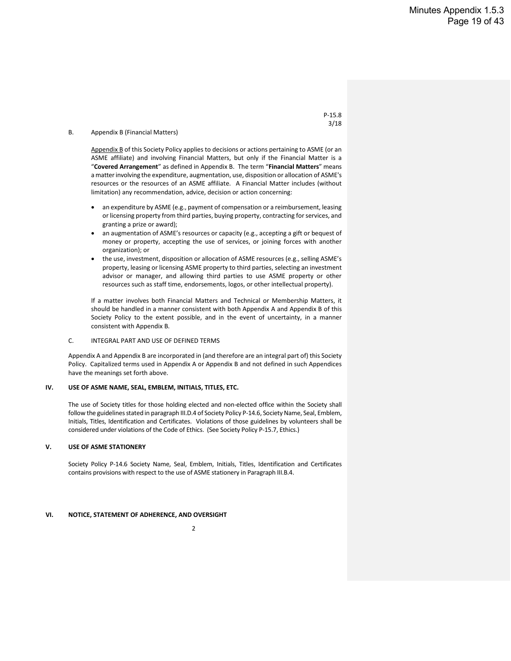#### B. Appendix B (Financial Matters)

Appendix B of this Society Policy applies to decisions or actions pertaining to ASME (or an ASME affiliate) and involving Financial Matters, but only if the Financial Matter is a "**Covered Arrangement**" as defined in Appendix B. The term "**Financial Matters**" means a matter involving the expenditure, augmentation, use, disposition or allocation of ASME's resources or the resources of an ASME affiliate. A Financial Matter includes (without limitation) any recommendation, advice, decision or action concerning:

- an expenditure by ASME (e.g., payment of compensation or a reimbursement, leasing or licensing property from third parties, buying property, contracting for services, and granting a prize or award);
- an augmentation of ASME's resources or capacity (e.g., accepting a gift or bequest of money or property, accepting the use of services, or joining forces with another organization); or
- the use, investment, disposition or allocation of ASME resources (e.g., selling ASME's property, leasing or licensing ASME property to third parties, selecting an investment advisor or manager, and allowing third parties to use ASME property or other resources such as staff time, endorsements, logos, or other intellectual property).

If a matter involves both Financial Matters and Technical or Membership Matters, it should be handled in a manner consistent with both Appendix A and Appendix B of this Society Policy to the extent possible, and in the event of uncertainty, in a manner consistent with Appendix B.

#### C. INTEGRAL PART AND USE OF DEFINED TERMS

Appendix A and Appendix B are incorporated in (and therefore are an integral part of) this Society Policy. Capitalized terms used in Appendix A or Appendix B and not defined in such Appendices have the meanings set forth above.

#### **IV. USE OF ASME NAME, SEAL, EMBLEM, INITIALS, TITLES, ETC.**

The use of Society titles for those holding elected and non-elected office within the Society shall follow the guidelines stated in paragraph III.D.4 of Society Policy P-14.6, Society Name, Seal, Emblem, Initials, Titles, Identification and Certificates. Violations of those guidelines by volunteers shall be considered under violations of the Code of Ethics. (See Society Policy P-15.7, Ethics.)

#### **V. USE OF ASME STATIONERY**

Society Policy P-14.6 Society Name, Seal, Emblem, Initials, Titles, Identification and Certificates contains provisions with respect to the use of ASME stationery in Paragraph III.B.4.

#### **VI. NOTICE, STATEMENT OF ADHERENCE, AND OVERSIGHT**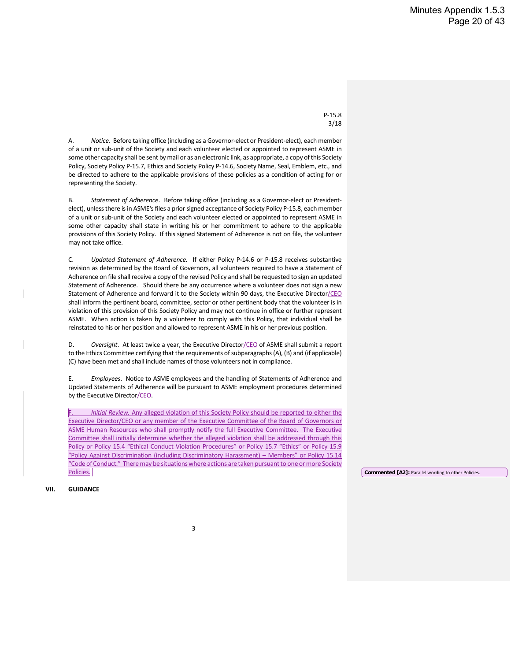A. *Notice.* Before taking office (including as a Governor-elect or President-elect), each member of a unit or sub-unit of the Society and each volunteer elected or appointed to represent ASME in some other capacity shall be sent by mail or as an electronic link, as appropriate, a copy of this Society Policy, Society Policy P-15.7, Ethics and Society Policy P-14.6, Society Name, Seal, Emblem, etc., and be directed to adhere to the applicable provisions of these policies as a condition of acting for or representing the Society.

B. *Statement of Adherence*. Before taking office (including as a Governor-elect or Presidentelect), unless there is in ASME's files a prior signed acceptance of Society Policy P-15.8, each member of a unit or sub-unit of the Society and each volunteer elected or appointed to represent ASME in some other capacity shall state in writing his or her commitment to adhere to the applicable provisions of this Society Policy. If this signed Statement of Adherence is not on file, the volunteer may not take office.

C. *Updated Statement of Adherence.* If either Policy P-14.6 or P-15.8 receives substantive revision as determined by the Board of Governors, all volunteers required to have a Statement of Adherence on file shall receive a copy of the revised Policy and shall be requested to sign an updated Statement of Adherence. Should there be any occurrence where a volunteer does not sign a new Statement of Adherence and forward it to the Society within 90 days, the Executive Director/CEO shall inform the pertinent board, committee, sector or other pertinent body that the volunteer is in violation of this provision of this Society Policy and may not continue in office or further represent ASME. When action is taken by a volunteer to comply with this Policy, that individual shall be reinstated to his or her position and allowed to represent ASME in his or her previous position.

D. Oversight. At least twice a year, the Executive Director/CEO of ASME shall submit a report to the Ethics Committee certifying that the requirements of subparagraphs (A), (B) and (if applicable) (C) have been met and shall include names of those volunteers not in compliance.

E. *Employees*. Notice to ASME employees and the handling of Statements of Adherence and Updated Statements of Adherence will be pursuant to ASME employment procedures determined by the Executive Director/CEO.

Initial Review. Any alleged violation of this Society Policy should be reported to either the Executive Director/CEO or any member of the Executive Committee of the Board of Governors or ASME Human Resources who shall promptly notify the full Executive Committee. The Executive Committee shall initially determine whether the alleged violation shall be addressed through this Policy or Policy 15.4 "Ethical Conduct Violation Procedures" or Policy 15.7 "Ethics" or Policy 15.9 "Policy Against Discrimination (including Discriminatory Harassment) – Members" or Policy 15.14 "Code of Conduct." There may be situations where actions are taken pursuant to one or more Society Policies.

**Commented [A2]:** Parallel wording to other Policies.

**VII. GUIDANCE**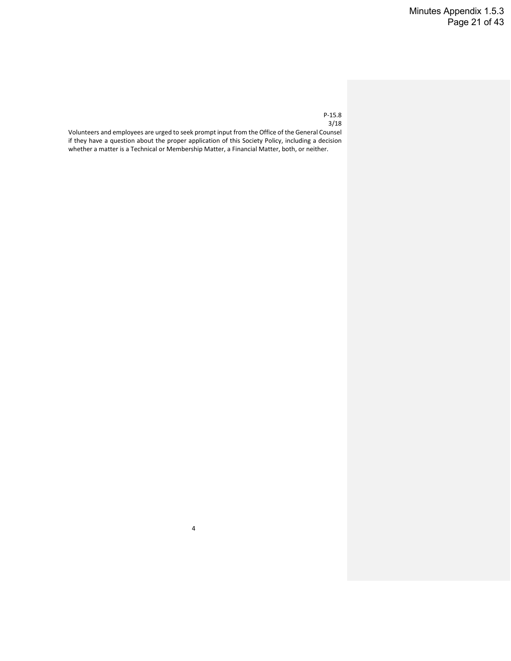Volunteers and employees are urged to seek prompt input from the Office of the General Counsel if they have a question about the proper application of this Society Policy, including a decision whether a matter is a Technical or Membership Matter, a Financial Matter, both, or neither.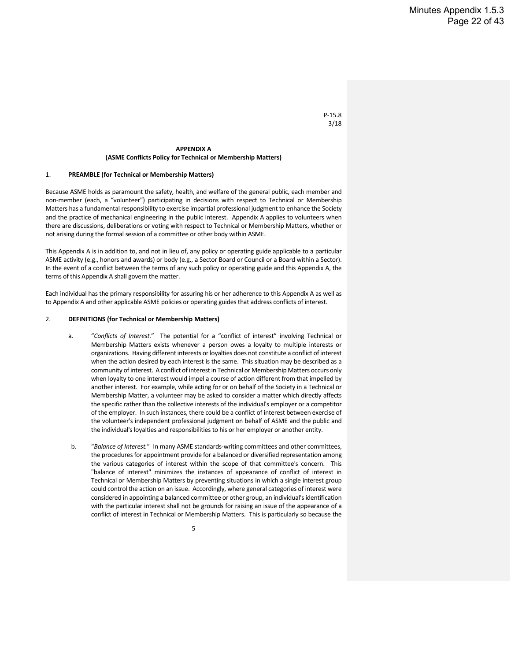#### **APPENDIX A (ASME Conflicts Policy for Technical or Membership Matters)**

#### 1. **PREAMBLE (for Technical or Membership Matters)**

Because ASME holds as paramount the safety, health, and welfare of the general public, each member and non-member (each, a "volunteer") participating in decisions with respect to Technical or Membership Matters has a fundamental responsibility to exercise impartial professional judgment to enhance the Society and the practice of mechanical engineering in the public interest. Appendix A applies to volunteers when there are discussions, deliberations or voting with respect to Technical or Membership Matters, whether or not arising during the formal session of a committee or other body within ASME.

This Appendix A is in addition to, and not in lieu of, any policy or operating guide applicable to a particular ASME activity (e.g., honors and awards) or body (e.g., a Sector Board or Council or a Board within a Sector). In the event of a conflict between the terms of any such policy or operating guide and this Appendix A, the terms of this Appendix A shall govern the matter.

Each individual has the primary responsibility for assuring his or her adherence to this Appendix A as well as to Appendix A and other applicable ASME policies or operating guides that address conflicts of interest.

#### 2. **DEFINITIONS (for Technical or Membership Matters)**

- a. "*Conflicts of Interest.*" The potential for a "conflict of interest" involving Technical or Membership Matters exists whenever a person owes a loyalty to multiple interests or organizations. Having different interests or loyalties does not constitute a conflict of interest when the action desired by each interest is the same. This situation may be described as a community of interest. A conflict of interest in Technical or Membership Matters occurs only when loyalty to one interest would impel a course of action different from that impelled by another interest. For example, while acting for or on behalf of the Society in a Technical or Membership Matter, a volunteer may be asked to consider a matter which directly affects the specific rather than the collective interests of the individual's employer or a competitor of the employer. In such instances, there could be a conflict of interest between exercise of the volunteer's independent professional judgment on behalf of ASME and the public and the individual's loyalties and responsibilities to his or her employer or another entity.
- b. "*Balance of Interest.*" In many ASME standards-writing committees and other committees, the procedures for appointment provide for a balanced or diversified representation among the various categories of interest within the scope of that committee's concern. This "balance of interest" minimizes the instances of appearance of conflict of interest in Technical or Membership Matters by preventing situations in which a single interest group could control the action on an issue. Accordingly, where general categories of interest were considered in appointing a balanced committee or other group, an individual's identification with the particular interest shall not be grounds for raising an issue of the appearance of a conflict of interest in Technical or Membership Matters. This is particularly so because the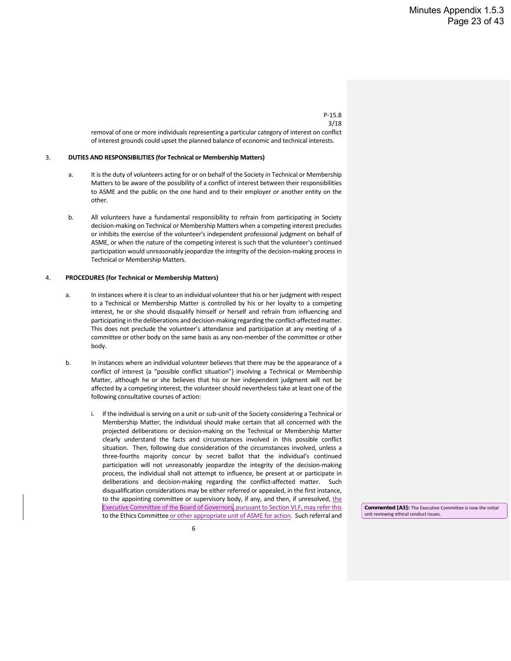removal of one or more individuals representing a particular category of interest on conflict of interest grounds could upset the planned balance of economic and technical interests.

P-15.8 3/18

#### 3. **DUTIES AND RESPONSIBILITIES (for Technical or Membership Matters)**

- a. It is the duty of volunteers acting for or on behalf of the Society in Technical or Membership Matters to be aware of the possibility of a conflict of interest between their responsibilities to ASME and the public on the one hand and to their employer or another entity on the other.
- b. All volunteers have a fundamental responsibility to refrain from participating in Society decision-making on Technical or Membership Matters when a competing interest precludes or inhibits the exercise of the volunteer's independent professional judgment on behalf of ASME, or when the nature of the competing interest is such that the volunteer's continued participation would unreasonably jeopardize the integrity of the decision-making process in Technical or Membership Matters.

#### 4. **PROCEDURES (for Technical or Membership Matters)**

- a. In instances where it is clear to an individual volunteer that his or her judgment with respect to a Technical or Membership Matter is controlled by his or her loyalty to a competing interest, he or she should disqualify himself or herself and refrain from influencing and participating in the deliberations and decision-making regarding the conflict-affected matter. This does not preclude the volunteer's attendance and participation at any meeting of a committee or other body on the same basis as any non-member of the committee or other body.
- b. In instances where an individual volunteer believes that there may be the appearance of a conflict of interest (a "possible conflict situation") involving a Technical or Membership Matter, although he or she believes that his or her independent judgment will not be affected by a competing interest, the volunteer should nevertheless take at least one of the following consultative courses of action:
	- i. If the individual is serving on a unit or sub-unit of the Society considering a Technical or Membership Matter, the individual should make certain that all concerned with the projected deliberations or decision-making on the Technical or Membership Matter clearly understand the facts and circumstances involved in this possible conflict situation. Then, following due consideration of the circumstances involved, unless a three-fourths majority concur by secret ballot that the individual's continued participation will not unreasonably jeopardize the integrity of the decision-making process, the individual shall not attempt to influence, be present at or participate in deliberations and decision-making regarding the conflict-affected matter. Such disqualification considerations may be either referred or appealed, in the first instance, to the appointing committee or supervisory body, if any, and then, if unresolved, the Executive Committee of the Board of Governors, pursuant to Section VI.F, may refer this to the Ethics Committee or other appropriate unit of ASME for action. Such referral and

**Commented [A3]:** The Executive Committee is now the initial unit reviewing ethical conduct issues.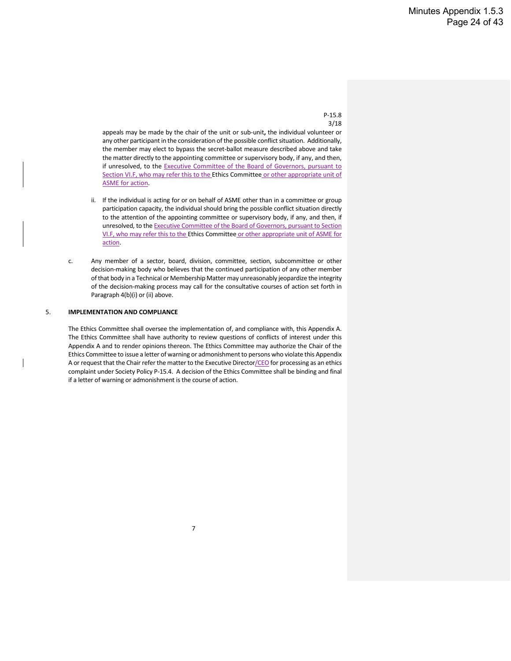appeals may be made by the chair of the unit or sub-unit**,** the individual volunteer or any other participant in the consideration of the possible conflict situation. Additionally, the member may elect to bypass the secret-ballot measure described above and take the matter directly to the appointing committee or supervisory body, if any, and then, if unresolved, to the Executive Committee of the Board of Governors, pursuant to Section VI.F, who may refer this to the Ethics Committee or other appropriate unit of ASME for action.

- ii. If the individual is acting for or on behalf of ASME other than in a committee or group participation capacity, the individual should bring the possible conflict situation directly to the attention of the appointing committee or supervisory body, if any, and then, if unresolved, to the Executive Committee of the Board of Governors, pursuant to Section VI.F, who may refer this to the Ethics Committee or other appropriate unit of ASME for action.
- c. Any member of a sector, board, division, committee, section, subcommittee or other decision-making body who believes that the continued participation of any other member of that body in a Technical or Membership Matter may unreasonably jeopardize the integrity of the decision-making process may call for the consultative courses of action set forth in Paragraph 4(b)(i) or (ii) above.

#### 5. **IMPLEMENTATION AND COMPLIANCE**

The Ethics Committee shall oversee the implementation of, and compliance with, this Appendix A. The Ethics Committee shall have authority to review questions of conflicts of interest under this Appendix A and to render opinions thereon. The Ethics Committee may authorize the Chair of the Ethics Committee to issue a letter of warning or admonishment to persons who violate this Appendix A or request that the Chair refer the matter to the Executive Director/CEO for processing as an ethics complaint under Society Policy P-15.4. A decision of the Ethics Committee shall be binding and final if a letter of warning or admonishment is the course of action.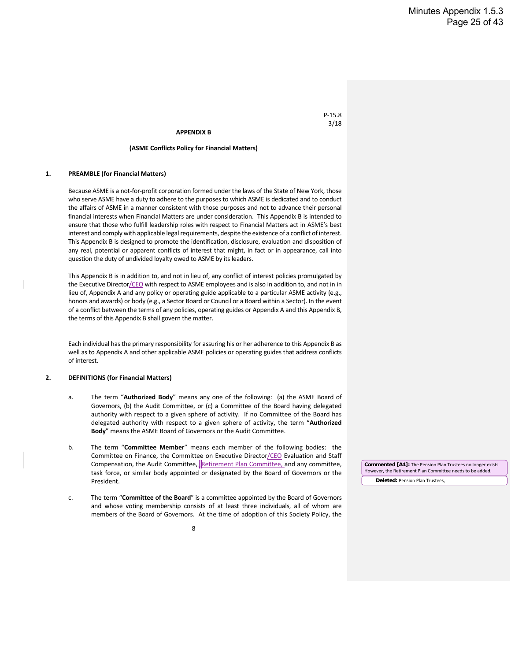#### **APPENDIX B**

#### **(ASME Conflicts Policy for Financial Matters)**

#### **1. PREAMBLE (for Financial Matters)**

Because ASME is a not-for-profit corporation formed under the laws of the State of New York, those who serve ASME have a duty to adhere to the purposes to which ASME is dedicated and to conduct the affairs of ASME in a manner consistent with those purposes and not to advance their personal financial interests when Financial Matters are under consideration. This Appendix B is intended to ensure that those who fulfill leadership roles with respect to Financial Matters act in ASME's best interest and comply with applicable legal requirements, despite the existence of a conflict of interest. This Appendix B is designed to promote the identification, disclosure, evaluation and disposition of any real, potential or apparent conflicts of interest that might, in fact or in appearance, call into question the duty of undivided loyalty owed to ASME by its leaders.

This Appendix B is in addition to, and not in lieu of, any conflict of interest policies promulgated by the Executive Director/CEO with respect to ASME employees and is also in addition to, and not in in lieu of, Appendix A and any policy or operating guide applicable to a particular ASME activity (e.g., honors and awards) or body (e.g., a Sector Board or Council or a Board within a Sector). In the event of a conflict between the terms of any policies, operating guides or Appendix A and this Appendix B, the terms of this Appendix B shall govern the matter.

Each individual has the primary responsibility for assuring his or her adherence to this Appendix B as well as to Appendix A and other applicable ASME policies or operating guides that address conflicts of interest.

#### **2. DEFINITIONS (for Financial Matters)**

- a. The term "**Authorized Body**" means any one of the following: (a) the ASME Board of Governors, (b) the Audit Committee, or (c) a Committee of the Board having delegated authority with respect to a given sphere of activity. If no Committee of the Board has delegated authority with respect to a given sphere of activity, the term "**Authorized Body**" means the ASME Board of Governors or the Audit Committee.
- b. The term "**Committee Member**" means each member of the following bodies: the Committee on Finance, the Committee on Executive Director/CEO Evaluation and Staff Compensation, the Audit Committee, Retirement Plan Committee, and any committee, task force, or similar body appointed or designated by the Board of Governors or the President.
- c. The term "**Committee of the Board**" is a committee appointed by the Board of Governors and whose voting membership consists of at least three individuals, all of whom are members of the Board of Governors. At the time of adoption of this Society Policy, the

**Deleted:** Pension Plan Trustees, **Commented [A4]:** The Pension Plan Trustees no longer exists. However, the Retirement Plan Committee needs to be added.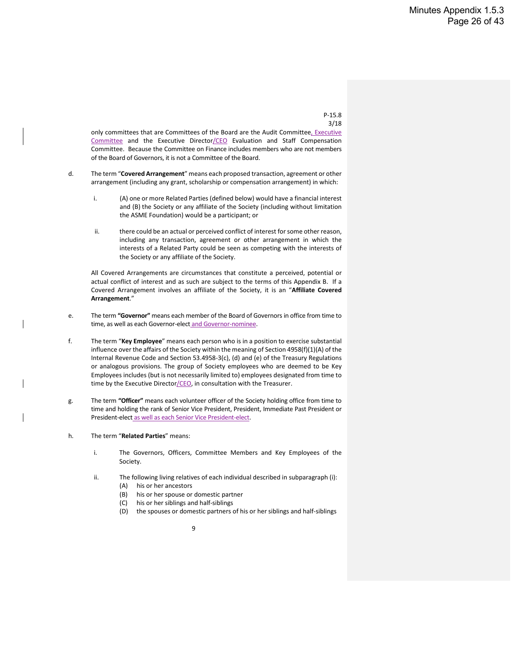only committees that are Committees of the Board are the Audit Committee, Executive Committee and the Executive Director/CEO Evaluation and Staff Compensation Committee. Because the Committee on Finance includes members who are not members of the Board of Governors, it is not a Committee of the Board.

- d. The term "**Covered Arrangement**" means each proposed transaction, agreement or other arrangement (including any grant, scholarship or compensation arrangement) in which:
	- i. (A) one or more Related Parties (defined below) would have a financial interest and (B) the Society or any affiliate of the Society (including without limitation the ASME Foundation) would be a participant; or
	- ii. there could be an actual or perceived conflict of interest for some other reason, including any transaction, agreement or other arrangement in which the interests of a Related Party could be seen as competing with the interests of the Society or any affiliate of the Society.

All Covered Arrangements are circumstances that constitute a perceived, potential or actual conflict of interest and as such are subject to the terms of this Appendix B. If a Covered Arrangement involves an affiliate of the Society, it is an "**Affiliate Covered Arrangement**."

- e. The term **"Governor"** means each member of the Board of Governors in office from time to time, as well as each Governor-elect and Governor-nominee.
- f. The term "**Key Employee**" means each person who is in a position to exercise substantial influence over the affairs of the Society within the meaning of Section 4958(f)(1)(A) of the Internal Revenue Code and Section 53.4958-3(c), (d) and (e) of the Treasury Regulations or analogous provisions. The group of Society employees who are deemed to be Key Employees includes (but is not necessarily limited to) employees designated from time to time by the Executive Director/CEO, in consultation with the Treasurer.
- g. The term **"Officer"** means each volunteer officer of the Society holding office from time to time and holding the rank of Senior Vice President, President, Immediate Past President or President-elect as well as each Senior Vice President-elect.
- h. The term "**Related Parties**" means:
	- i. The Governors, Officers, Committee Members and Key Employees of the Society.
	- ii. The following living relatives of each individual described in subparagraph (i):
		- (A) his or her ancestors
		- (B) his or her spouse or domestic partner
		- (C) his or her siblings and half-siblings
		- (D) the spouses or domestic partners of his or her siblings and half-siblings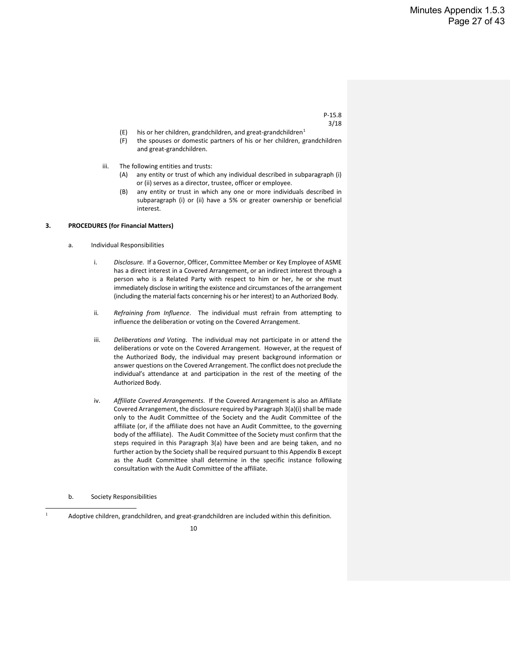- (E) his or her children, grandchildren, and great-grandchildren<sup>1</sup>
- (F) the spouses or domestic partners of his or her children, grandchildren and great-grandchildren.
- iii. The following entities and trusts:
	- (A) any entity or trust of which any individual described in subparagraph (i) or (ii) serves as a director, trustee, officer or employee.
	- (B) any entity or trust in which any one or more individuals described in subparagraph (i) or (ii) have a 5% or greater ownership or beneficial interest.

#### **3. PROCEDURES (for Financial Matters)**

- a. Individual Responsibilities
	- i. *Disclosure.* If a Governor, Officer, Committee Member or Key Employee of ASME has a direct interest in a Covered Arrangement, or an indirect interest through a person who is a Related Party with respect to him or her, he or she must immediately disclose in writing the existence and circumstances of the arrangement (including the material facts concerning his or her interest) to an Authorized Body.
	- ii. *Refraining from Influence*. The individual must refrain from attempting to influence the deliberation or voting on the Covered Arrangement.
	- iii. *Deliberations and Voting*. The individual may not participate in or attend the deliberations or vote on the Covered Arrangement. However, at the request of the Authorized Body, the individual may present background information or answer questions on the Covered Arrangement. The conflict does not preclude the individual's attendance at and participation in the rest of the meeting of the Authorized Body.
	- iv. *Affiliate Covered Arrangements*. If the Covered Arrangement is also an Affiliate Covered Arrangement, the disclosure required by Paragraph 3(a)(i) shall be made only to the Audit Committee of the Society and the Audit Committee of the affiliate (or, if the affiliate does not have an Audit Committee, to the governing body of the affiliate). The Audit Committee of the Society must confirm that the steps required in this Paragraph 3(a) have been and are being taken, and no further action by the Society shall be required pursuant to this Appendix B except as the Audit Committee shall determine in the specific instance following consultation with the Audit Committee of the affiliate.

b. Society Responsibilities

<span id="page-33-0"></span><sup>1</sup> Adoptive children, grandchildren, and great-grandchildren are included within this definition.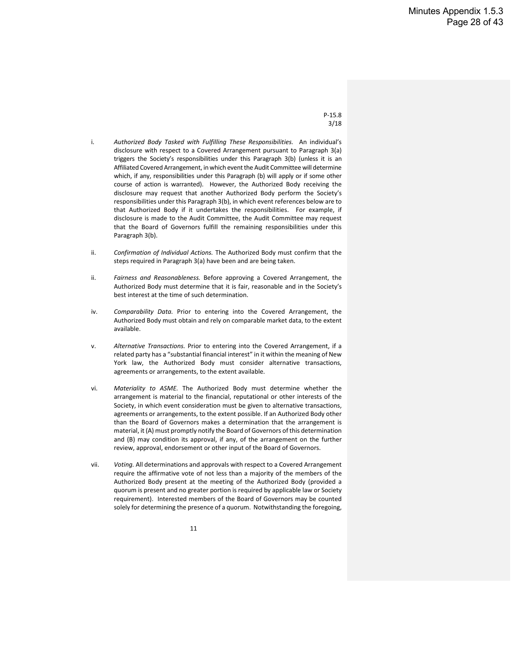- i. *Authorized Body Tasked with Fulfilling These Responsibilities.* An individual's disclosure with respect to a Covered Arrangement pursuant to Paragraph 3(a) triggers the Society's responsibilities under this Paragraph 3(b) (unless it is an Affiliated Covered Arrangement, in which event the Audit Committee will determine which, if any, responsibilities under this Paragraph (b) will apply or if some other course of action is warranted). However, the Authorized Body receiving the disclosure may request that another Authorized Body perform the Society's responsibilities under this Paragraph 3(b), in which event references below are to that Authorized Body if it undertakes the responsibilities. For example, if disclosure is made to the Audit Committee, the Audit Committee may request that the Board of Governors fulfill the remaining responsibilities under this Paragraph 3(b).
- ii. *Confirmation of Individual Actions.* The Authorized Body must confirm that the steps required in Paragraph 3(a) have been and are being taken.
- ii. *Fairness and Reasonableness.* Before approving a Covered Arrangement, the Authorized Body must determine that it is fair, reasonable and in the Society's best interest at the time of such determination.
- iv. *Comparability Data.* Prior to entering into the Covered Arrangement, the Authorized Body must obtain and rely on comparable market data, to the extent available.
- v. *Alternative Transactions.* Prior to entering into the Covered Arrangement, if a related party has a "substantial financial interest" in it within the meaning of New York law, the Authorized Body must consider alternative transactions, agreements or arrangements, to the extent available.
- vi. *Materiality to ASME.* The Authorized Body must determine whether the arrangement is material to the financial, reputational or other interests of the Society, in which event consideration must be given to alternative transactions, agreements or arrangements, to the extent possible. If an Authorized Body other than the Board of Governors makes a determination that the arrangement is material, it (A) must promptly notify the Board of Governors of this determination and (B) may condition its approval, if any, of the arrangement on the further review, approval, endorsement or other input of the Board of Governors.
- vii. *Voting.* All determinations and approvals with respect to a Covered Arrangement require the affirmative vote of not less than a majority of the members of the Authorized Body present at the meeting of the Authorized Body (provided a quorum is present and no greater portion is required by applicable law or Society requirement). Interested members of the Board of Governors may be counted solely for determining the presence of a quorum. Notwithstanding the foregoing,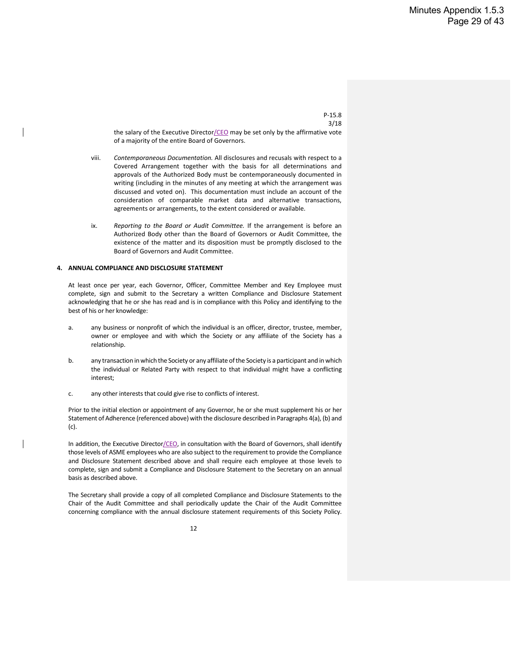the salary of the Executive Director/CEO may be set only by the affirmative vote of a majority of the entire Board of Governors.

- viii. *Contemporaneous Documentation.* All disclosures and recusals with respect to a Covered Arrangement together with the basis for all determinations and approvals of the Authorized Body must be contemporaneously documented in writing (including in the minutes of any meeting at which the arrangement was discussed and voted on). This documentation must include an account of the consideration of comparable market data and alternative transactions, agreements or arrangements, to the extent considered or available.
- ix. *Reporting to the Board or Audit Committee.* If the arrangement is before an Authorized Body other than the Board of Governors or Audit Committee, the existence of the matter and its disposition must be promptly disclosed to the Board of Governors and Audit Committee.

#### **4. ANNUAL COMPLIANCE AND DISCLOSURE STATEMENT**

At least once per year, each Governor, Officer, Committee Member and Key Employee must complete, sign and submit to the Secretary a written Compliance and Disclosure Statement acknowledging that he or she has read and is in compliance with this Policy and identifying to the best of his or her knowledge:

- a. any business or nonprofit of which the individual is an officer, director, trustee, member, owner or employee and with which the Society or any affiliate of the Society has a relationship.
- b. any transaction in which the Society or any affiliate of the Society is a participant and in which the individual or Related Party with respect to that individual might have a conflicting interest;
- c. any other interests that could give rise to conflicts of interest.

Prior to the initial election or appointment of any Governor, he or she must supplement his or her Statement of Adherence (referenced above) with the disclosure described in Paragraphs 4(a), (b) and (c).

In addition, the Executive Director/CEO, in consultation with the Board of Governors, shall identify those levels of ASME employees who are also subject to the requirement to provide the Compliance and Disclosure Statement described above and shall require each employee at those levels to complete, sign and submit a Compliance and Disclosure Statement to the Secretary on an annual basis as described above.

The Secretary shall provide a copy of all completed Compliance and Disclosure Statements to the Chair of the Audit Committee and shall periodically update the Chair of the Audit Committee concerning compliance with the annual disclosure statement requirements of this Society Policy.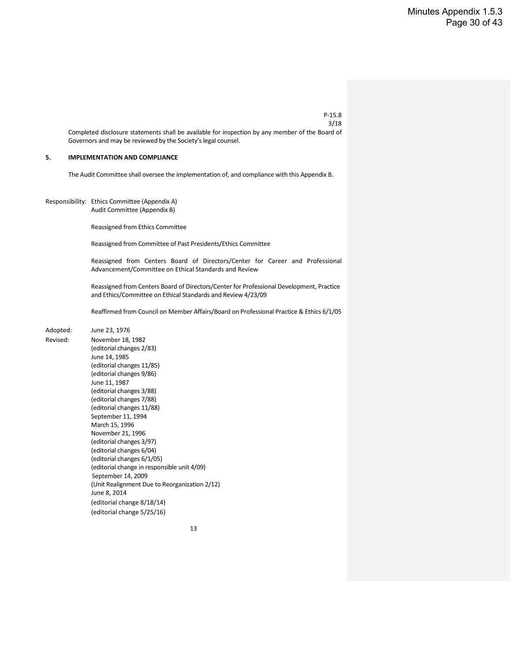Completed disclosure statements shall be available for inspection by any member of the Board of Governors and may be reviewed by the Society's legal counsel.

#### **5. IMPLEMENTATION AND COMPLIANCE**

The Audit Committee shall oversee the implementation of, and compliance with this Appendix B.

Responsibility: Ethics Committee (Appendix A) Audit Committee (Appendix B)

Reassigned from Ethics Committee

Reassigned from Committee of Past Presidents/Ethics Committee

Reassigned from Centers Board of Directors/Center for Career and Professional Advancement/Committee on Ethical Standards and Review

Reassigned from Centers Board of Directors/Center for Professional Development, Practice and Ethics/Committee on Ethical Standards and Review 4/23/09

Reaffirmed from Council on Member Affairs/Board on Professional Practice & Ethics 6/1/05

#### Adopted: June 23, 1976

Revised: November 18, 1982 (editorial changes 2/83) June 14, 1985 (editorial changes 11/85) (editorial changes 9/86) June 11, 1987 (editorial changes 3/88) (editorial changes 7/88) (editorial changes 11/88) September 11, 1994 March 15, 1996 November 21, 1996 (editorial changes 3/97) (editorial changes 6/04) (editorial changes 6/1/05) (editorial change in responsible unit 4/09) September 14, 2009 (Unit Realignment Due to Reorganization 2/12) June 8, 2014 (editorial change 8/18/14) (editorial change 5/25/16)

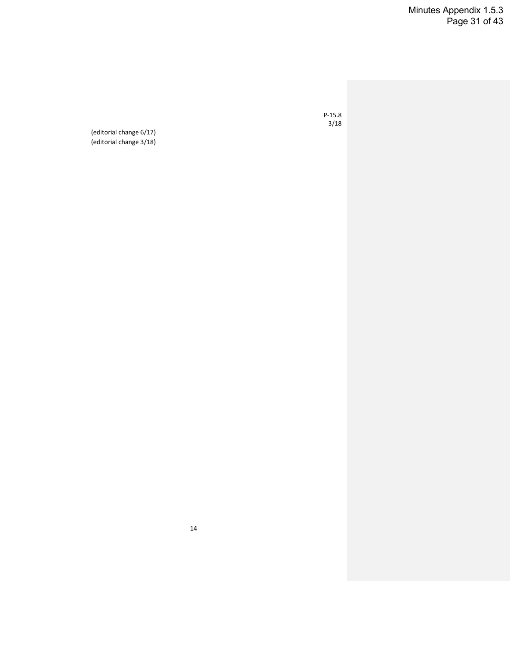Minutes Appendix 1.5.3 Page 31 of 43

P-15.8 3/18

(editorial change 6/17) (editorial change 3/18)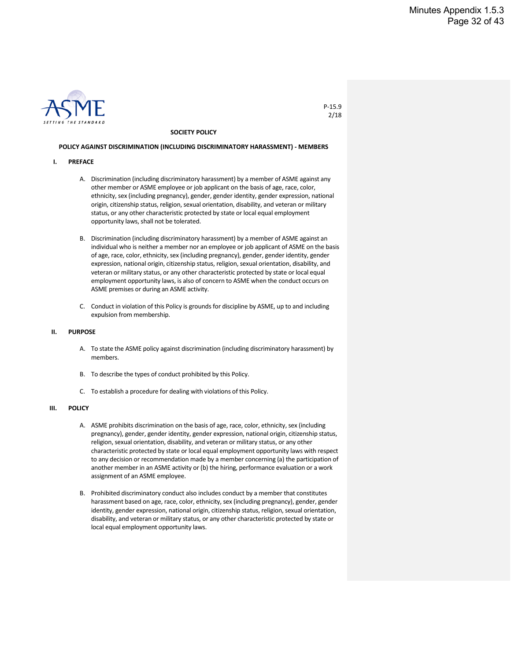

#### **SOCIETY POLICY**

#### **POLICY AGAINST DISCRIMINATION (INCLUDING DISCRIMINATORY HARASSMENT) - MEMBERS**

- **I. PREFACE**
	- A. Discrimination (including discriminatory harassment) by a member of ASME against any other member or ASME employee or job applicant on the basis of age, race, color, ethnicity, sex (including pregnancy), gender, gender identity, gender expression, national origin, citizenship status, religion, sexual orientation, disability, and veteran or military status, or any other characteristic protected by state or local equal employment opportunity laws, shall not be tolerated.
	- B. Discrimination (including discriminatory harassment) by a member of ASME against an individual who is neither a member nor an employee or job applicant of ASME on the basis of age, race, color, ethnicity, sex (including pregnancy), gender, gender identity, gender expression, national origin, citizenship status, religion, sexual orientation, disability, and veteran or military status, or any other characteristic protected by state or local equal employment opportunity laws, is also of concern to ASME when the conduct occurs on ASME premises or during an ASME activity.
	- C. Conduct in violation of this Policy is grounds for discipline by ASME, up to and including expulsion from membership.

#### **II. PURPOSE**

- A. To state the ASME policy against discrimination (including discriminatory harassment) by members.
- B. To describe the types of conduct prohibited by this Policy.
- C. To establish a procedure for dealing with violations of this Policy.

#### **III. POLICY**

- A. ASME prohibits discrimination on the basis of age, race, color, ethnicity, sex (including pregnancy), gender, gender identity, gender expression, national origin, citizenship status, religion, sexual orientation, disability, and veteran or military status, or any other characteristic protected by state or local equal employment opportunity laws with respect to any decision or recommendation made by a member concerning (a) the participation of another member in an ASME activity or (b) the hiring, performance evaluation or a work assignment of an ASME employee.
- B. Prohibited discriminatory conduct also includes conduct by a member that constitutes harassment based on age, race, color, ethnicity, sex (including pregnancy), gender, gender identity, gender expression, national origin, citizenship status, religion, sexual orientation, disability, and veteran or military status, or any other characteristic protected by state or local equal employment opportunity laws.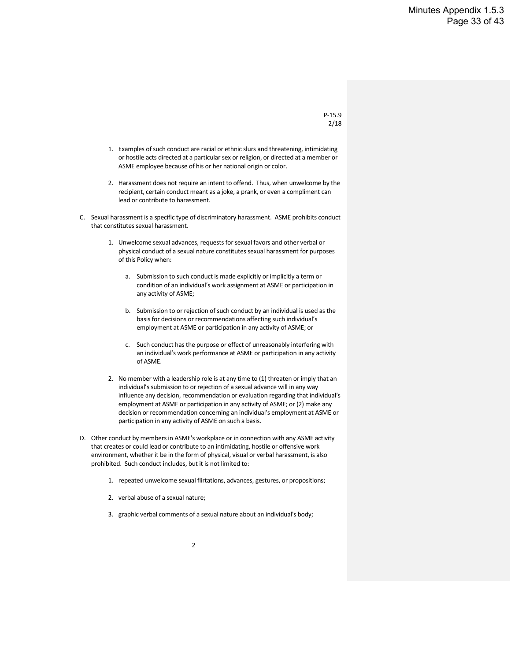- 1. Examples of such conduct are racial or ethnic slurs and threatening, intimidating or hostile acts directed at a particular sex or religion, or directed at a member or ASME employee because of his or her national origin or color.
- 2. Harassment does not require an intent to offend. Thus, when unwelcome by the recipient, certain conduct meant as a joke, a prank, or even a compliment can lead or contribute to harassment.
- C. Sexual harassment is a specific type of discriminatory harassment. ASME prohibits conduct that constitutes sexual harassment.
	- 1. Unwelcome sexual advances, requests for sexual favors and other verbal or physical conduct of a sexual nature constitutes sexual harassment for purposes of this Policy when:
		- a. Submission to such conduct is made explicitly or implicitly a term or condition of an individual's work assignment at ASME or participation in any activity of ASME;
		- b. Submission to or rejection of such conduct by an individual is used as the basis for decisions or recommendations affecting such individual's employment at ASME or participation in any activity of ASME; or
		- c. Such conduct has the purpose or effect of unreasonably interfering with an individual's work performance at ASME or participation in any activity of ASME.
	- 2. No member with a leadership role is at any time to (1) threaten or imply that an individual's submission to or rejection of a sexual advance will in any way influence any decision, recommendation or evaluation regarding that individual's employment at ASME or participation in any activity of ASME; or (2) make any decision or recommendation concerning an individual's employment at ASME or participation in any activity of ASME on such a basis.
- D. Other conduct by members in ASME's workplace or in connection with any ASME activity that creates or could lead or contribute to an intimidating, hostile or offensive work environment, whether it be in the form of physical, visual or verbal harassment, is also prohibited. Such conduct includes, but it is not limited to:
	- 1. repeated unwelcome sexual flirtations, advances, gestures, or propositions;
	- 2. verbal abuse of a sexual nature;
	- 3. graphic verbal comments of a sexual nature about an individual's body;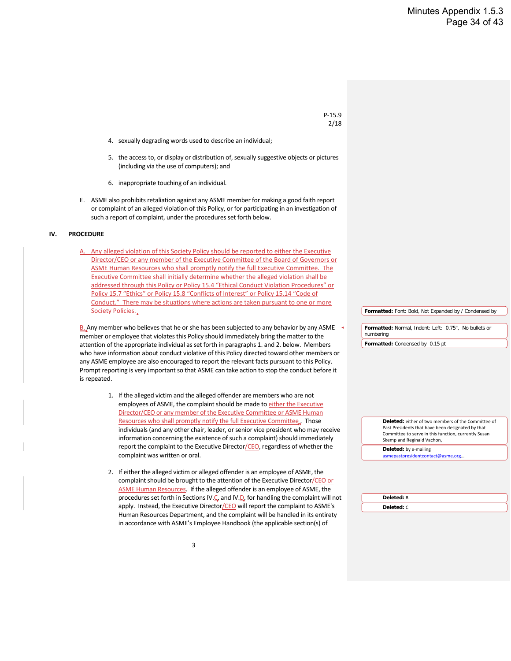- 4. sexually degrading words used to describe an individual;
- 5. the access to, or display or distribution of, sexually suggestive objects or pictures (including via the use of computers); and
- 6. inappropriate touching of an individual.
- E. ASME also prohibits retaliation against any ASME member for making a good faith report or complaint of an alleged violation of this Policy, or for participating in an investigation of such a report of complaint, under the procedures set forth below.

#### **IV. PROCEDURE**

A. Any alleged violation of this Society Policy should be reported to either the Executive Director/CEO or any member of the Executive Committee of the Board of Governors or ASME Human Resources who shall promptly notify the full Executive Committee. The Executive Committee shall initially determine whether the alleged violation shall be addressed through this Policy or Policy 15.4 "Ethical Conduct Violation Procedures" or Policy 15.7 "Ethics" or Policy 15.8 "Conflicts of Interest" or Policy 15.14 "Code of Conduct." There may be situations where actions are taken pursuant to one or more Society Policies.

B. Any member who believes that he or she has been subjected to any behavior by any ASME member or employee that violates this Policy should immediately bring the matter to the attention of the appropriate individual as set forth in paragraphs 1. and 2. below. Members who have information about conduct violative of this Policy directed toward other members or any ASME employee are also encouraged to report the relevant facts pursuant to this Policy. Prompt reporting is very important so that ASME can take action to stop the conduct before it is repeated.

- 1. If the alleged victim and the alleged offender are members who are not employees of ASME, the complaint should be made to either the Executive Director/CEO or any member of the Executive Committee or ASME Human Resources who shall promptly notify the full Executive Committee. Those individuals (and any other chair, leader, or senior vice president who may receive information concerning the existence of such a complaint) should immediately report the complaint to the Executive Director/CEO, regardless of whether the complaint was written or oral.
- 2. If either the alleged victim or alleged offender is an employee of ASME, the complaint should be brought to the attention of the Executive Director/CEO or ASME Human Resources. If the alleged offender is an employee of ASME, the procedures set forth in Sections IV.C. and IV.D. for handling the complaint will not apply. Instead, the Executive Director/CEO will report the complaint to ASME's Human Resources Department, and the complaint will be handled in its entirety in accordance with ASME's Employee Handbook (the applicable section(s) of

**Formatted:** Font: Bold, Not Expanded by / Condensed by

**Formatted:** Normal, Indent: Left: 0.75", No bullets or numbering **Formatted:** Condensed by 0.15 pt

> **Deleted:** either of two members of the Committee of Past Presidents that have been designated by that Committee to serve in this function, currently Susan Skemp and Reginald Vachon,

**Deleted:** by e-mailing

asmepastpresidentcontact@asme.org…

**Deleted:** B **Deleted:** C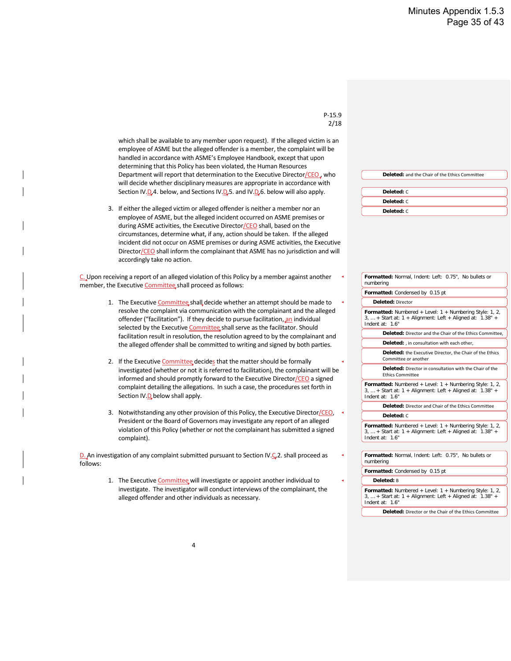which shall be available to any member upon request). If the alleged victim is an employee of ASME but the alleged offender is a member, the complaint will be handled in accordance with ASME's Employee Handbook, except that upon determining that this Policy has been violated, the Human Resources Department will report that determination to the Executive Director/CEO, who will decide whether disciplinary measures are appropriate in accordance with Section IV.D.4. below, and Sections IV.D.5. and IV.D.6. below will also apply.

3. If either the alleged victim or alleged offender is neither a member nor an employee of ASME, but the alleged incident occurred on ASME premises or during ASME activities, the Executive Director/CEO shall, based on the circumstances, determine what, if any, action should be taken. If the alleged incident did not occur on ASME premises or during ASME activities, the Executive Director/CEO shall inform the complainant that ASME has no jurisdiction and will accordingly take no action.

C. Upon receiving a report of an alleged violation of this Policy by a member against another member, the Executive Committee, shall proceed as follows:

- 1. The Executive Committee shall decide whether an attempt should be made to resolve the complaint via communication with the complainant and the alleged offender ("facilitation"). If they decide to pursue facilitation, an individual selected by the Executive Committee shall serve as the facilitator. Should facilitation result in resolution, the resolution agreed to by the complainant and the alleged offender shall be committed to writing and signed by both parties.
- 2. If the Executive Committee decides that the matter should be formally investigated (whether or not it is referred to facilitation), the complainant will be informed and should promptly forward to the Executive Director/CEO a signed complaint detailing the allegations. In such a case, the procedures set forth in Section IV.D below shall apply.
- 3. Notwithstanding any other provision of this Policy, the Executive Director/CEO, President or the Board of Governors may investigate any report of an alleged violation of this Policy (whether or not the complainant has submitted a signed complaint).

D. An investigation of any complaint submitted pursuant to Section IV.C.2. shall proceed as follows:

> 1. The Executive Committee will investigate or appoint another individual to investigate. The investigator will conduct interviews of the complainant, the alleged offender and other individuals as necessary.

**Deleted:** and the Chair of the Ethics Committee

| Deleted: C |
|------------|
| Deleted: C |
| Deleted: C |

| Formatted: Normal, Indent: Left: 0.75", No bullets or<br>numbering                                                                               |
|--------------------------------------------------------------------------------------------------------------------------------------------------|
| Formatted: Condensed by 0.15 pt                                                                                                                  |
| <b>Deleted: Director</b>                                                                                                                         |
| Formatted: Numbered + Level: $1 +$ Numbering Style: 1, 2,<br>$3, $ + Start at: $1 +$ Alignment: Left + Aligned at: $1.38" +$<br>Indent at: $16"$ |
| Deleted: Director and the Chair of the Ethics Committee,                                                                                         |
| <b>Deleted:</b> , in consultation with each other,                                                                                               |
| Deleted: the Executive Director, the Chair of the Ethics<br>Committee or another                                                                 |
| <b>Deleted:</b> Director in consultation with the Chair of the<br><b>Ethics Committee</b>                                                        |
| Formatted: Numbered + Level: $1 +$ Numbering Style: 1, 2,<br>$3,  +$ Start at: $1 +$ Alignment: Left + Aligned at: $1.38" +$<br>Indent at: 16"   |
| <b>Deleted:</b> Director and Chair of the Ethics Committee                                                                                       |
| Deleted: C                                                                                                                                       |
| Formatted: Numbered + Level: $1 +$ Numbering Style: 1, 2,<br>$3, $ + Start at: $1 +$ Alignment: Left + Aligned at: $1.38" +$<br>Indent at: 1.6"  |
|                                                                                                                                                  |
| Formatted: Normal, Indent: Left: 0.75", No bullets or<br>numbering                                                                               |
| Formatted: Condensed by 0.15 pt                                                                                                                  |
| Deleted: B                                                                                                                                       |
| Formatted: Numbered + Level: 1 + Numbering Style: 1, 2,                                                                                          |

3, … + Start at: 1 + Alignment: Left + Aligned at: 1.38" + Indent at: 1.6"

**Deleted:** Director or the Chair of the Ethics Committee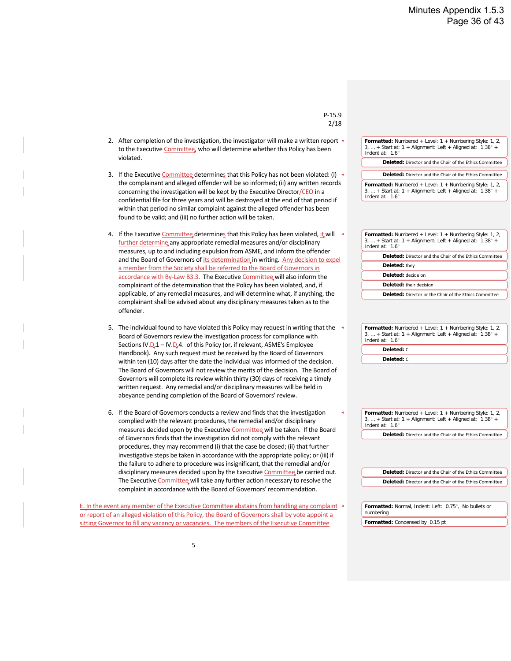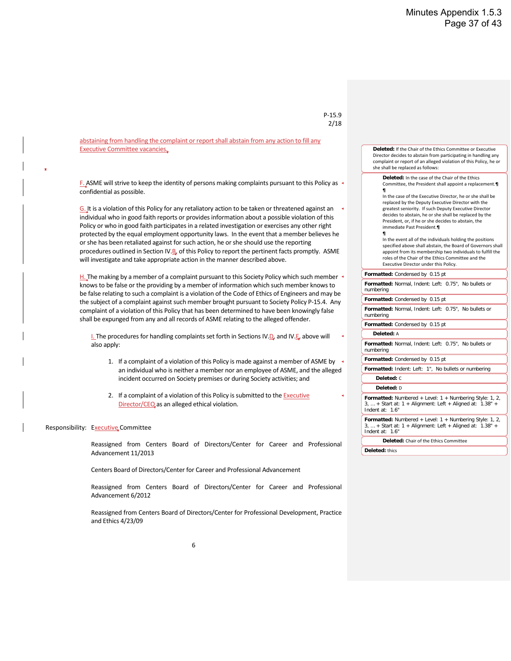abstaining from handling the complaint or report shall abstain from any action to fill any Executive Committee vacancies.

F. ASME will strive to keep the identity of persons making complaints pursuant to this Policy as confidential as possible.

G. It is a violation of this Policy for any retaliatory action to be taken or threatened against an individual who in good faith reports or provides information about a possible violation of this Policy or who in good faith participates in a related investigation or exercises any other right protected by the equal employment opportunity laws. In the event that a member believes he or she has been retaliated against for such action, he or she should use the reporting procedures outlined in Section IV.B. of this Policy to report the pertinent facts promptly. ASME will investigate and take appropriate action in the manner described above.

H. The making by a member of a complaint pursuant to this Society Policy which such member  $\cdot$ knows to be false or the providing by a member of information which such member knows to be false relating to such a complaint is a violation of the Code of Ethics of Engineers and may be the subject of a complaint against such member brought pursuant to Society Policy P-15.4. Any complaint of a violation of this Policy that has been determined to have been knowingly false shall be expunged from any and all records of ASME relating to the alleged offender.

**I.** The procedures for handling complaints set forth in Sections IV. $D$ , and IV. $E$ , above will also apply:

- 1. If a complaint of a violation of this Policy is made against a member of ASME by an individual who is neither a member nor an employee of ASME, and the alleged incident occurred on Society premises or during Society activities; and
- 2. If a complaint of a violation of this Policy is submitted to the Executive Director/CEQ</u> as an alleged ethical violation.

#### Responsibility: Executive Committee

Reassigned from Centers Board of Directors/Center for Career and Professional Advancement 11/2013

Centers Board of Directors/Center for Career and Professional Advancement

Reassigned from Centers Board of Directors/Center for Career and Professional Advancement 6/2012

Reassigned from Centers Board of Directors/Center for Professional Development, Practice and Ethics 4/23/09

| 5.<br>ن<br>п |  |
|--------------|--|
| Χ<br>/1      |  |

**Deleted:** If the Chair of the Ethics Committee or Executive Director decides to abstain from participating in handling any complaint or report of an alleged violation of this Policy, he or she shall be replaced as follows:

**Deleted:** In the case of the Chair of the Ethics Committee, the President shall appoint a replacement.**¶**

**¶** In the case of the Executive Director, he or she shall be replaced by the Deputy Executive Director with the greatest seniority. If such Deputy Executive Director decides to abstain, he or she shall be replaced by the President, or, if he or she decides to abstain, the immediate Past President.**¶**

**¶** In the event all of the individuals holding the positions specified above shall abstain, the Board of Governors shall appoint from its membership two individuals to fulfill the roles of the Chair of the Ethics Committee and the Executive Director under this Policy.

#### **Formatted:** Condensed by 0.15 pt

**Formatted:** Normal, Indent: Left: 0.75", No bullets or numbering

**Formatted:** Condensed by 0.15 pt

**Formatted:** Normal, Indent: Left: 0.75", No bullets or numbering

**Formatted:** Condensed by 0.15 pt

**Deleted:** A

**Formatted:** Normal, Indent: Left: 0.75", No bullets or numbering

**Formatted:** Condensed by 0.15 pt

**Formatted:** Indent: Left: 1", No bullets or numbering **Deleted:** C

#### **Deleted:** D

**Formatted:** Numbered + Level: 1 + Numbering Style: 1, 2, 3, … + Start at: 1 + Alignment: Left + Aligned at: 1.38" + Indent at: 1.6"

**Formatted:** Numbered + Level: 1 + Numbering Style: 1, 2,  $3, \ldots$  + Start at:  $1 +$  Alignment: Left + Aligned at:  $1.38$ " + Indent at: 1.6"

**Deleted:** Chair of the Ethics Committee

**Deleted:** thics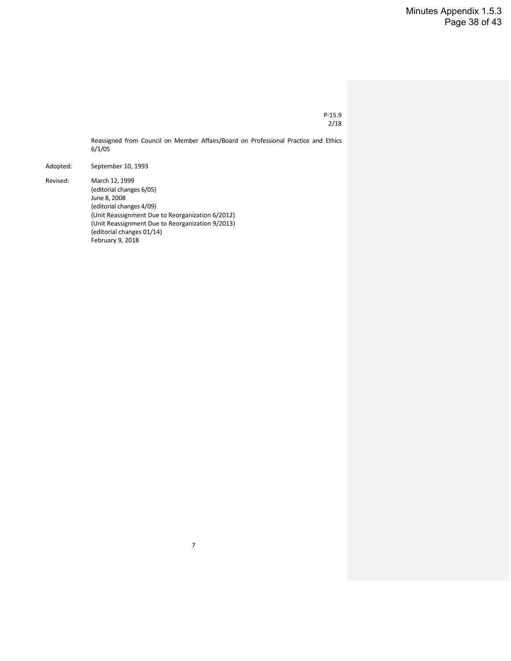Reassigned from Council on Member Affairs/Board on Professional Practice and Ethics 6/1/05

7

Adopted: September 10, 1993

Revised: March 12, 1999 (editorial changes 6/05) June 8, 2008 (editorial changes 4/09) (Unit Reassignment Due to Reorganization 6/2012) (Unit Reassignment Due to Reorganization 9/2013) (editorial changes 01/14) February 9, 2018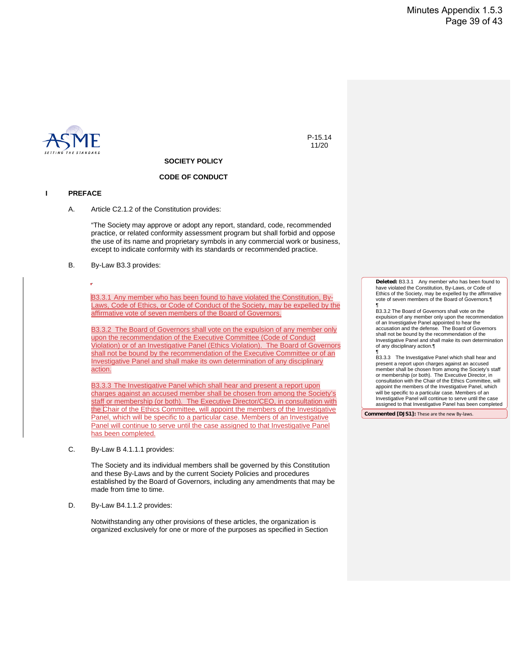

P-15.14 11/20

#### **SOCIETY POLICY**

#### **CODE OF CONDUCT**

#### **I PREFACE**

A. Article C2.1.2 of the Constitution provides:

"The Society may approve or adopt any report, standard, code, recommended practice, or related conformity assessment program but shall forbid and oppose the use of its name and proprietary symbols in any commercial work or business, except to indicate conformity with its standards or recommended practice.

B. By-Law B3.3 provides:

.

B3.3.1 Any member who has been found to have violated the Constitution, By-Laws, Code of Ethics, or Code of Conduct of the Society, may be expelled by the affirmative vote of seven members of the Board of Governors.

B3.3.2 The Board of Governors shall vote on the expulsion of any member only upon the recommendation of the Executive Committee (Code of Conduct Violation) or of an Investigative Panel (Ethics Violation). The Board of Governors shall not be bound by the recommendation of the Executive Committee or of an Investigative Panel and shall make its own determination of any disciplinary action.

B3.3.3 The Investigative Panel which shall hear and present a report upon charges against an accused member shall be chosen from among the Society's staff or membership (or both). The Executive Director/CEO, in consultation with the Chair of the Ethics Committee, will appoint the members of the Investigative Panel, which will be specific to a particular case. Members of an Investigative Panel will continue to serve until the case assigned to that Investigative Panel has been completed.

C. By-Law B 4.1.1.1 provides:

The Society and its individual members shall be governed by this Constitution and these By-Laws and by the current Society Policies and procedures established by the Board of Governors, including any amendments that may be made from time to time.

D. By-Law B4.1.1.2 provides:

Notwithstanding any other provisions of these articles, the organization is organized exclusively for one or more of the purposes as specified in Section **Deleted:** B3.3.1 Any member who has been found to have violated the Constitution, By-Laws, or Code of Ethics of the Society, may be expelled by the affirmative vote of seven members of the Board of Governors.¶

¶ B3.3.2 The Board of Governors shall vote on the expulsion of any member only upon the recommendation of an Investigative Panel appointed to hear the accusation and the defense. The Board of Governors shall not be bound by the recommendation of the Investigative Panel and shall make its own determination of any disciplinary action.¶

¶ B3.3.3 The Investigative Panel which shall hear and present a report upon charges against an accused member shall be chosen from among the Society's staff or membership (or both). The Executive Director, in consultation with the Chair of the Ethics Committee, will appoint the members of the Investigative Panel, which will be specific to a particular case. Members of an Investigative Panel will continue to serve until the case assigned to that Investigative Panel has been completed

**Commented [DJS1]:** These are the new By-laws.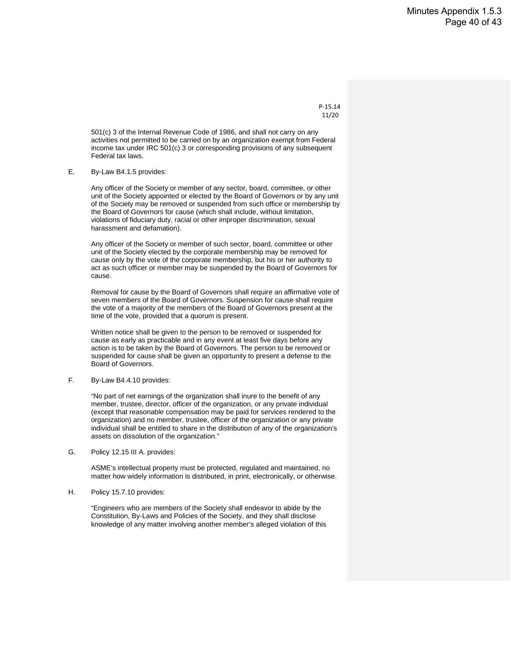P-15.14 11/20

501(c) 3 of the Internal Revenue Code of 1986, and shall not carry on any activities not permitted to be carried on by an organization exempt from Federal income tax under IRC 501(c) 3 or corresponding provisions of any subsequent Federal tax laws.

E. By-Law B4.1.5 provides:

Any officer of the Society or member of any sector, board, committee, or other unit of the Society appointed or elected by the Board of Governors or by any unit of the Society may be removed or suspended from such office or membership by the Board of Governors for cause (which shall include, without limitation, violations of fiduciary duty, racial or other improper discrimination, sexual harassment and defamation).

Any officer of the Society or member of such sector, board, committee or other unit of the Society elected by the corporate membership may be removed for cause only by the vote of the corporate membership, but his or her authority to act as such officer or member may be suspended by the Board of Governors for cause.

Removal for cause by the Board of Governors shall require an affirmative vote of seven members of the Board of Governors. Suspension for cause shall require the vote of a majority of the members of the Board of Governors present at the time of the vote, provided that a quorum is present.

Written notice shall be given to the person to be removed or suspended for cause as early as practicable and in any event at least five days before any action is to be taken by the Board of Governors. The person to be removed or suspended for cause shall be given an opportunity to present a defense to the Board of Governors.

F. By-Law B4.4.10 provides:

"No part of net earnings of the organization shall inure to the benefit of any member, trustee, director, officer of the organization, or any private individual (except that reasonable compensation may be paid for services rendered to the organization) and no member, trustee, officer of the organization or any private individual shall be entitled to share in the distribution of any of the organization's assets on dissolution of the organization."

G. Policy 12.15 III A. provides:

ASME's intellectual property must be protected, regulated and maintained, no matter how widely information is distributed, in print, electronically, or otherwise.

H. Policy 15.7.10 provides:

"Engineers who are members of the Society shall endeavor to abide by the Constitution, By-Laws and Policies of the Society, and they shall disclose knowledge of any matter involving another member's alleged violation of this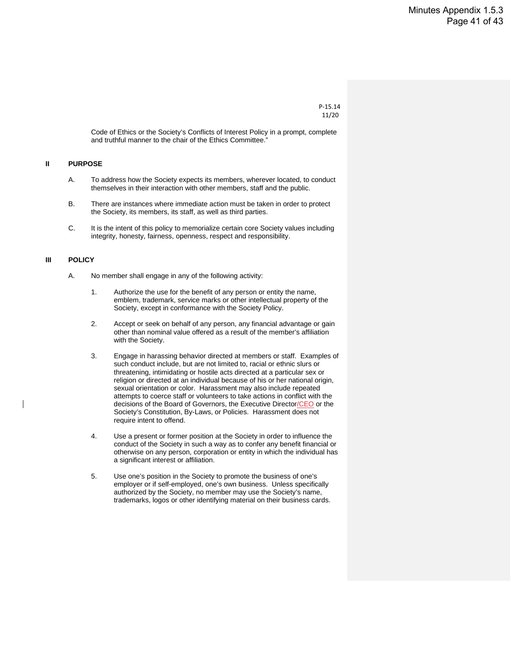```
P-15.14
11/20
```
Code of Ethics or the Society's Conflicts of Interest Policy in a prompt, complete and truthful manner to the chair of the Ethics Committee."

#### **II PURPOSE**

- A. To address how the Society expects its members, wherever located, to conduct themselves in their interaction with other members, staff and the public.
- B. There are instances where immediate action must be taken in order to protect the Society, its members, its staff, as well as third parties.
- C. It is the intent of this policy to memorialize certain core Society values including integrity, honesty, fairness, openness, respect and responsibility.

#### **III POLICY**

- A. No member shall engage in any of the following activity:
	- 1. Authorize the use for the benefit of any person or entity the name, emblem, trademark, service marks or other intellectual property of the Society, except in conformance with the Society Policy.
	- 2. Accept or seek on behalf of any person, any financial advantage or gain other than nominal value offered as a result of the member's affiliation with the Society.
	- 3. Engage in harassing behavior directed at members or staff. Examples of such conduct include, but are not limited to, racial or ethnic slurs or threatening, intimidating or hostile acts directed at a particular sex or religion or directed at an individual because of his or her national origin, sexual orientation or color. Harassment may also include repeated attempts to coerce staff or volunteers to take actions in conflict with the decisions of the Board of Governors, the Executive Director/CEO or the Society's Constitution, By-Laws, or Policies. Harassment does not require intent to offend.
	- 4. Use a present or former position at the Society in order to influence the conduct of the Society in such a way as to confer any benefit financial or otherwise on any person, corporation or entity in which the individual has a significant interest or affiliation.
	- 5. Use one's position in the Society to promote the business of one's employer or if self-employed, one's own business. Unless specifically authorized by the Society, no member may use the Society's name, trademarks, logos or other identifying material on their business cards.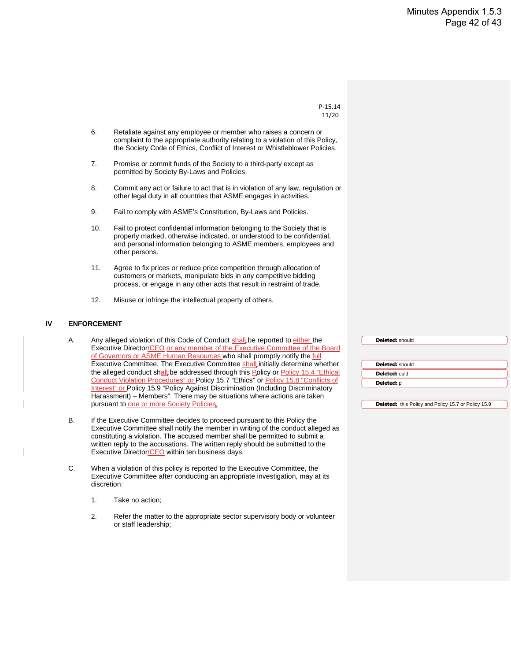P-15.14 11/20

- 6. Retaliate against any employee or member who raises a concern or complaint to the appropriate authority relating to a violation of this Policy, the Society Code of Ethics, Conflict of Interest or Whistleblower Policies.
- 7. Promise or commit funds of the Society to a third-party except as permitted by Society By-Laws and Policies.
- 8. Commit any act or failure to act that is in violation of any law, regulation or other legal duty in all countries that ASME engages in activities.
- 9. Fail to comply with ASME's Constitution, By-Laws and Policies.
- 10. Fail to protect confidential information belonging to the Society that is properly marked, otherwise indicated, or understood to be confidential, and personal information belonging to ASME members, employees and other persons.
- 11. Agree to fix prices or reduce price competition through allocation of customers or markets, manipulate bids in any competitive bidding process, or engage in any other acts that result in restraint of trade.
- 12. Misuse or infringe the intellectual property of others.

#### **IV ENFORCEMENT**

- A. Any alleged violation of this Code of Conduct shall be reported to either the Executive Director/CEO or any member of the Executive Committee of the Board of Governors or ASME Human Resources who shall promptly notify the full Executive Committee. The Executive Committee shall initially determine whether the alleged conduct shall be addressed through this Policy or Policy 15.4 "Ethical Conduct Violation Procedures" or Policy 15.7 "Ethics" or Policy 15.8 "Conflicts of Interest" or Policy 15.9 "Policy Against Discrimination (Including Discriminatory Harassment) – Members". There may be situations where actions are taken pursuant to one or more Society Policies
- B. If the Executive Committee decides to proceed pursuant to this Policy the Executive Committee shall notify the member in writing of the conduct alleged as constituting a violation. The accused member shall be permitted to submit a written reply to the accusations. The written reply should be submitted to the Executive Director/CEO within ten business days.
- C. When a violation of this policy is reported to the Executive Committee, the Executive Committee after conducting an appropriate investigation, may at its discretion:
	- 1. Take no action;
	- 2. Refer the matter to the appropriate sector supervisory body or volunteer or staff leadership;

**Deleted:** should **Deleted:** should **Deleted:** ould **Deleted:** p

**Deleted:** this Policy and Policy 15.7 or Policy 15.9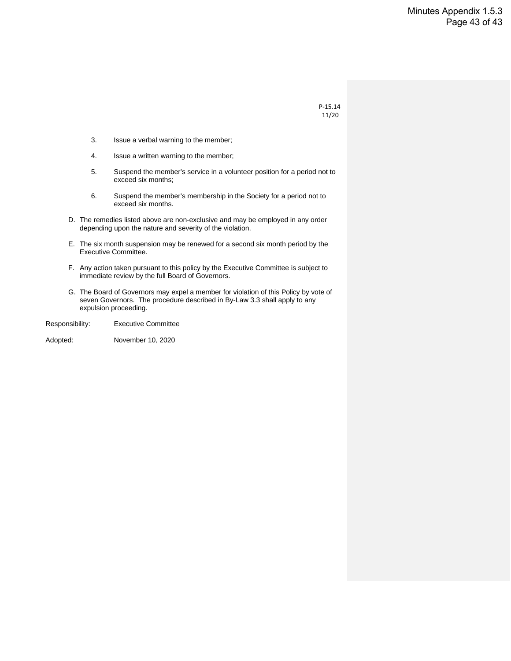P-15.14 11/20

- 3. Issue a verbal warning to the member;
- 4. Issue a written warning to the member;
- 5. Suspend the member's service in a volunteer position for a period not to exceed six months;
- 6. Suspend the member's membership in the Society for a period not to exceed six months.
- D. The remedies listed above are non-exclusive and may be employed in any order depending upon the nature and severity of the violation.
- E. The six month suspension may be renewed for a second six month period by the Executive Committee.
- F. Any action taken pursuant to this policy by the Executive Committee is subject to immediate review by the full Board of Governors.
- G. The Board of Governors may expel a member for violation of this Policy by vote of seven Governors. The procedure described in By-Law 3.3 shall apply to any expulsion proceeding.

Responsibility: Executive Committee

Adopted: November 10, 2020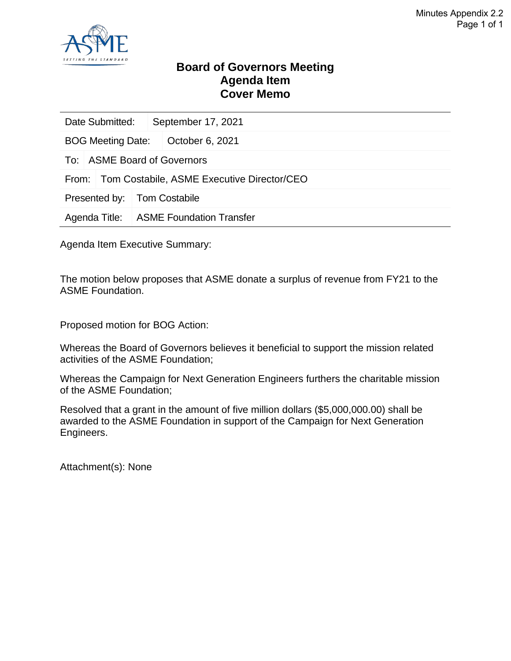

#### **Board of Governors Meeting Agenda Item Cover Memo**

| Date Submitted:                                     |  | September 17, 2021              |  |  |  |
|-----------------------------------------------------|--|---------------------------------|--|--|--|
| <b>BOG Meeting Date:</b>                            |  | October 6, 2021                 |  |  |  |
| To: ASME Board of Governors                         |  |                                 |  |  |  |
| Tom Costabile, ASME Executive Director/CEO<br>From: |  |                                 |  |  |  |
| Presented by:                                       |  | <b>Tom Costabile</b>            |  |  |  |
| Agenda Title:                                       |  | <b>ASME Foundation Transfer</b> |  |  |  |
|                                                     |  |                                 |  |  |  |

Agenda Item Executive Summary:

The motion below proposes that ASME donate a surplus of revenue from FY21 to the ASME Foundation.

Proposed motion for BOG Action:

Whereas the Board of Governors believes it beneficial to support the mission related activities of the ASME Foundation;

Whereas the Campaign for Next Generation Engineers furthers the charitable mission of the ASME Foundation;

Resolved that a grant in the amount of five million dollars (\$5,000,000.00) shall be awarded to the ASME Foundation in support of the Campaign for Next Generation Engineers.

Attachment(s): None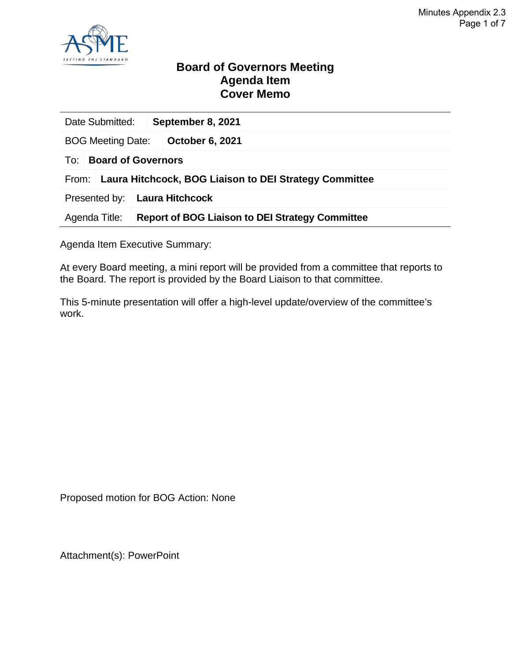

#### **Board of Governors Meeting Agenda Item Cover Memo**

| Date Submitted:                                                 |  |  | September 8, 2021                                      |  |  |
|-----------------------------------------------------------------|--|--|--------------------------------------------------------|--|--|
| <b>BOG Meeting Date:</b>                                        |  |  | <b>October 6, 2021</b>                                 |  |  |
| <b>Board of Governors</b><br>To:                                |  |  |                                                        |  |  |
| Laura Hitchcock, BOG Liaison to DEI Strategy Committee<br>From: |  |  |                                                        |  |  |
| Presented by:                                                   |  |  | Laura Hitchcock                                        |  |  |
| Agenda Title:                                                   |  |  | <b>Report of BOG Liaison to DEI Strategy Committee</b> |  |  |

Agenda Item Executive Summary:

At every Board meeting, a mini report will be provided from a committee that reports to the Board. The report is provided by the Board Liaison to that committee.

This 5-minute presentation will offer a high-level update/overview of the committee's work.

Proposed motion for BOG Action: None

Attachment(s): PowerPoint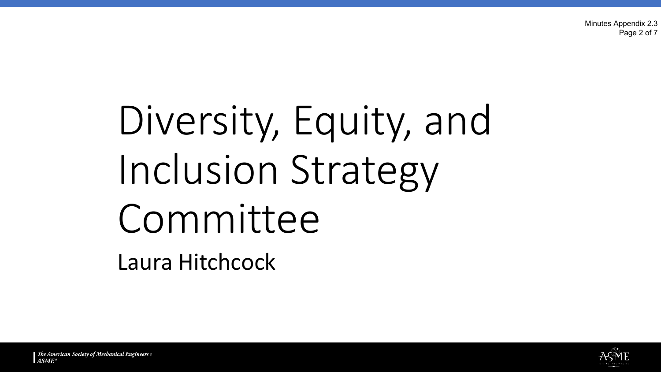Minutes Appendix 2.3 Page 2 of 7

# Diversity, Equity, and Inclusion Strategy Committee Laura Hitchcock

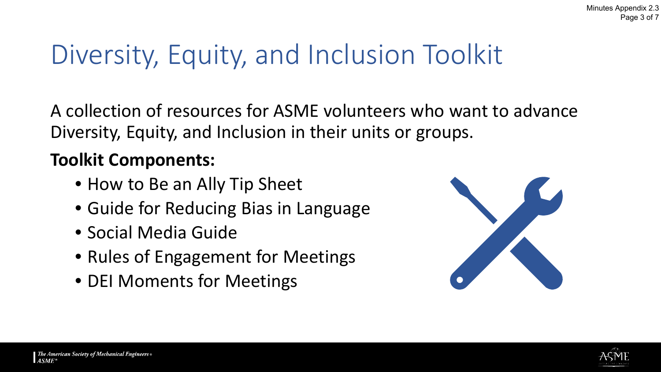## Diversity, Equity, and Inclusion Toolkit

A collection of resources for ASME volunteers who want to advance Diversity, Equity, and Inclusion in their units or groups.

### **Toolkit Components:**

- How to Be an Ally Tip Sheet
- Guide for Reducing Bias in Language
- Social Media Guide
- Rules of Engagement for Meetings
- DEI Moments for Meetings



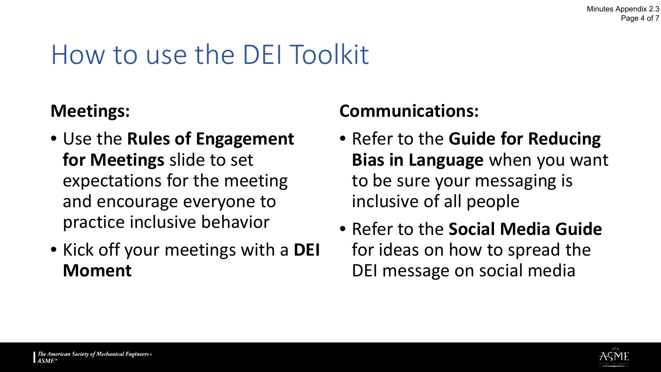## How to use the DEI Toolkit

### **Meetings:**

- Use the **Rules of Engagement for Meetings** slide to set expectations for the meeting and encourage everyone to practice inclusive behavior
- Kick off your meetings with a **DEI Moment**

### **Communications:**

- Refer to the **Guide for Reducing Bias in Language** when you want to be sure your messaging is inclusive of all people
- Refer to the **Social Media Guide** for ideas on how to spread the DEI message on social media

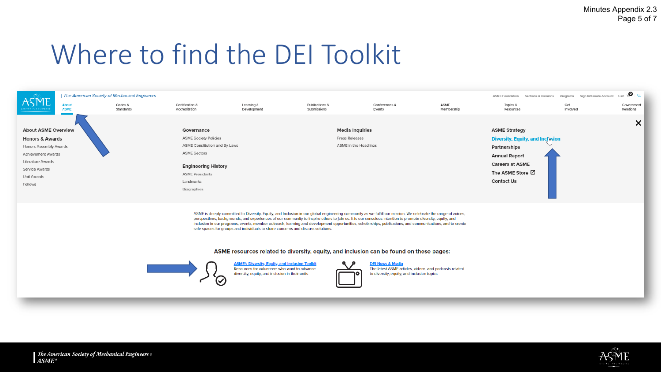### Where to find the DEI Toolkit



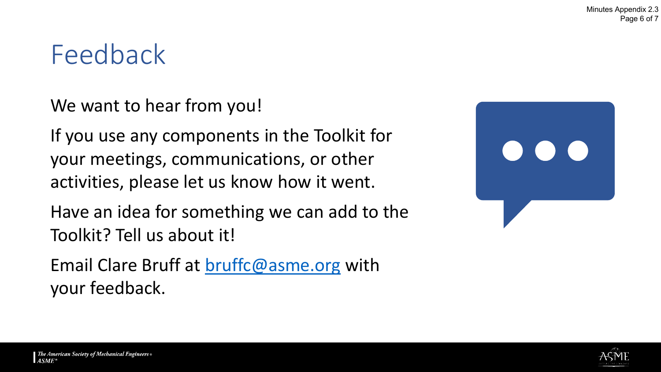### Feedback

We want to hear from you!

If you use any components in the Toolkit for your meetings, communications, or other activities, please let us know how it went.

Have an idea for something we can add to the Toolkit? Tell us about it!

Email Clare Bruff at [bruffc@asme.org](mailto:bruffc@asme.org) with your feedback.



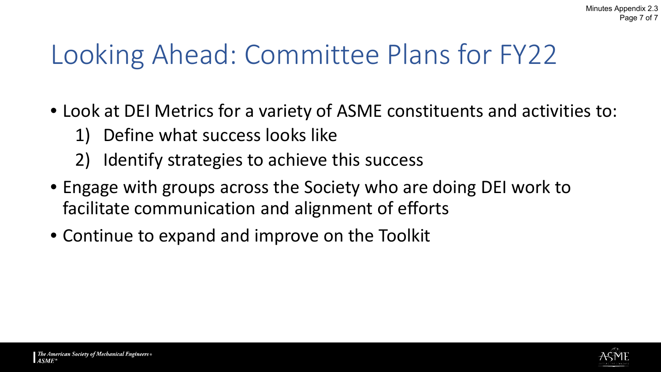## Looking Ahead: Committee Plans for FY22

- Look at DEI Metrics for a variety of ASME constituents and activities to:
	- 1) Define what success looks like
	- 2) Identify strategies to achieve this success
- Engage with groups across the Society who are doing DEI work to facilitate communication and alignment of efforts
- Continue to expand and improve on the Toolkit